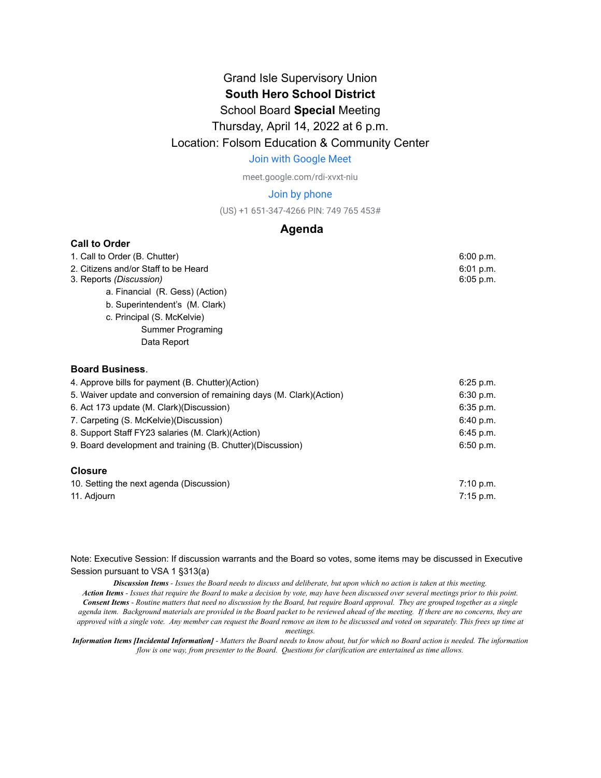### Grand Isle Supervisory Union **South Hero School District**

### School Board **Special** Meeting

### Thursday, April 14, 2022 at 6 p.m.

### Location: Folsom Education & Community Center

#### [Join with Google Meet](https://meet.google.com/rdi-xvxt-niu?authuser=0&hs=122)

meet.google.com/rdi-xvxt-niu

#### Join by phone

(US) +1 651-347-4266 PIN: 749 765 453#

### **Agenda**

#### **Call to Order**

| 1. Call to Order (B. Chutter)                                         | 6:00 p.m.   |
|-----------------------------------------------------------------------|-------------|
| 2. Citizens and/or Staff to be Heard                                  | 6:01 p.m.   |
| 3. Reports (Discussion)                                               | 6:05 p.m.   |
| a. Financial (R. Gess) (Action)                                       |             |
| b. Superintendent's (M. Clark)                                        |             |
| c. Principal (S. McKelvie)                                            |             |
| Summer Programing                                                     |             |
| Data Report                                                           |             |
| <b>Board Business.</b>                                                |             |
| 4. Approve bills for payment (B. Chutter)(Action)                     | $6:25$ p.m. |
| 5. Waiver update and conversion of remaining days (M. Clark) (Action) | 6:30 p.m.   |
| 6. Act 173 update (M. Clark) (Discussion)                             | 6:35 p.m.   |
| 7. Carpeting (S. McKelvie) (Discussion)                               | 6:40 p.m.   |
| 8. Support Staff FY23 salaries (M. Clark) (Action)                    | 6:45 p.m.   |
| 9. Board development and training (B. Chutter) (Discussion)           | 6:50 p.m.   |
| <b>Closure</b>                                                        |             |

#### 10. Setting the next agenda (Discussion) **10. In the set of the set of the set of the set of the set of the set o** 11. Adjourn 2008 and 2008 and 2008 and 2008 and 2008 and 2008 and 2008 and 2008 and 2008 and 2008 and 2008 and 2008 and 2008 and 2008 and 2008 and 2008 and 2008 and 2008 and 2008 and 2008 and 2008 and 2008 and 2008 and 200

Note: Executive Session: If discussion warrants and the Board so votes, some items may be discussed in Executive Session pursuant to VSA 1 §313(a)

Discussion Items - Issues the Board needs to discuss and deliberate, but upon which no action is taken at this meeting.

Action Items - Issues that require the Board to make a decision by vote, may have been discussed over several meetings prior to this point. **Consent Items** - Routine matters that need no discussion by the Board, but require Board approval. They are grouped together as a single agenda item. Background materials are provided in the Board packet to be reviewed ahead of the meeting. If there are no concerns, they are approved with a single vote. Any member can request the Board remove an item to be discussed and voted on separately. This frees up time at

*meetings.*

Information Items [Incidental Information] - Matters the Board needs to know about, but for which no Board action is needed. The information *flow is one way, from presenter to the Board. Questions for clarification are entertained as time allows.*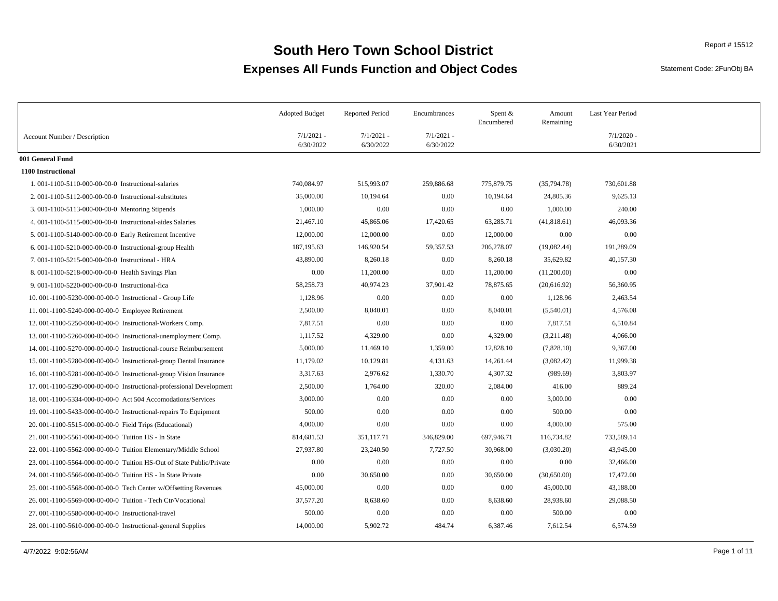Statement Code: 2FunObj BA

|                                                                      | <b>Adopted Budget</b>     | <b>Reported Period</b>    | Encumbrances              | Spent $&$<br>Encumbered | Amount<br>Remaining | Last Year Period          |
|----------------------------------------------------------------------|---------------------------|---------------------------|---------------------------|-------------------------|---------------------|---------------------------|
| Account Number / Description                                         | $7/1/2021$ -<br>6/30/2022 | $7/1/2021$ -<br>6/30/2022 | $7/1/2021$ -<br>6/30/2022 |                         |                     | $7/1/2020$ -<br>6/30/2021 |
| 001 General Fund                                                     |                           |                           |                           |                         |                     |                           |
| 1100 Instructional                                                   |                           |                           |                           |                         |                     |                           |
| 1.001-1100-5110-000-00-00-0 Instructional-salaries                   | 740,084.97                | 515,993.07                | 259,886.68                | 775,879.75              | (35,794.78)         | 730,601.88                |
| 2. 001-1100-5112-000-00-00-0 Instructional-substitutes               | 35,000.00                 | 10,194.64                 | 0.00                      | 10,194.64               | 24,805.36           | 9,625.13                  |
| 3.001-1100-5113-000-00-00-0 Mentoring Stipends                       | 1,000.00                  | 0.00                      | 0.00                      | 0.00                    | 1,000.00            | 240.00                    |
| 4.001-1100-5115-000-00-00-0 Instructional-aides Salaries             | 21,467.10                 | 45,865.06                 | 17,420.65                 | 63,285.71               | (41,818.61)         | 46,093.36                 |
| 5.001-1100-5140-000-00-00-0 Early Retirement Incentive               | 12,000.00                 | 12,000.00                 | 0.00                      | 12,000.00               | 0.00                | 0.00                      |
| 6. 001-1100-5210-000-00-00-0 Instructional-group Health              | 187, 195. 63              | 146,920.54                | 59,357.53                 | 206,278.07              | (19,082.44)         | 191,289.09                |
| 7.001-1100-5215-000-00-00-0 Instructional - HRA                      | 43,890.00                 | 8,260.18                  | 0.00                      | 8,260.18                | 35,629.82           | 40,157.30                 |
| 8.001-1100-5218-000-00-00-0 Health Savings Plan                      | 0.00                      | 11,200.00                 | 0.00                      | 11,200.00               | (11,200.00)         | 0.00                      |
| 9.001-1100-5220-000-00-00-0 Instructional-fica                       | 58,258.73                 | 40,974.23                 | 37,901.42                 | 78,875.65               | (20, 616.92)        | 56,360.95                 |
| 10. 001-1100-5230-000-00-00-0 Instructional - Group Life             | 1,128.96                  | 0.00                      | 0.00                      | 0.00                    | 1,128.96            | 2,463.54                  |
| 11.001-1100-5240-000-00-00-0 Employee Retirement                     | 2,500.00                  | 8,040.01                  | 0.00                      | 8,040.01                | (5,540.01)          | 4,576.08                  |
| 12. 001-1100-5250-000-00-00-0 Instructional-Workers Comp.            | 7,817.51                  | 0.00                      | 0.00                      | 0.00                    | 7,817.51            | 6,510.84                  |
| 13. 001-1100-5260-000-00-00-00 Instructional-unemployment Comp.      | 1,117.52                  | 4,329.00                  | 0.00                      | 4,329.00                | (3,211.48)          | 4,066.00                  |
| 14. 001-1100-5270-000-00-00-0 Instructional-course Reimbursement     | 5,000.00                  | 11,469.10                 | 1,359.00                  | 12,828.10               | (7,828.10)          | 9,367.00                  |
| 15.001-1100-5280-000-00-00-0 Instructional-group Dental Insurance    | 11,179.02                 | 10,129.81                 | 4,131.63                  | 14,261.44               | (3,082.42)          | 11,999.38                 |
| 16. 001-1100-5281-000-00-00-0 Instructional-group Vision Insurance   | 3,317.63                  | 2,976.62                  | 1,330.70                  | 4,307.32                | (989.69)            | 3,803.97                  |
| 17.001-1100-5290-000-00-00-0 Instructional-professional Development  | 2,500.00                  | 1,764.00                  | 320.00                    | 2,084.00                | 416.00              | 889.24                    |
| 18.001-1100-5334-000-00-00-0. Act 504 Accomodations/Services         | 3,000.00                  | 0.00                      | 0.00                      | 0.00                    | 3,000.00            | 0.00                      |
| 19. 001-1100-5433-000-00-00-0 Instructional-repairs To Equipment     | 500.00                    | 0.00                      | 0.00                      | 0.00                    | 500.00              | 0.00                      |
| 20. 001-1100-5515-000-00-00-0 Field Trips (Educational)              | 4,000.00                  | 0.00                      | 0.00                      | 0.00                    | 4,000.00            | 575.00                    |
| 21. 001-1100-5561-000-00-00-0 Tuition HS - In State                  | 814,681.53                | 351,117.71                | 346,829.00                | 697,946.71              | 116,734.82          | 733,589.14                |
| 22. 001-1100-5562-000-00-00-0 Tuition Elementary/Middle School       | 27,937.80                 | 23,240.50                 | 7,727.50                  | 30,968.00               | (3,030.20)          | 43,945.00                 |
| 23. 001-1100-5564-000-00-00-0 Tuition HS-Out of State Public/Private | 0.00                      | 0.00                      | 0.00                      | 0.00                    | 0.00                | 32,466.00                 |
| 24. 001-1100-5566-000-00-00-0 Tuition HS - In State Private          | 0.00                      | 30,650.00                 | 0.00                      | 30,650.00               | (30,650.00)         | 17,472.00                 |
| 25.001-1100-5568-000-00-00-0 Tech Center w/Offsetting Revenues       | 45,000.00                 | 0.00                      | 0.00                      | 0.00                    | 45,000.00           | 43,188.00                 |
| 26. 001-1100-5569-000-00-00-0 Tuition - Tech Ctr/Vocational          | 37,577.20                 | 8,638.60                  | 0.00                      | 8,638.60                | 28,938.60           | 29,088.50                 |
| 27.001-1100-5580-000-00-00-0 Instructional-travel                    | 500.00                    | 0.00                      | 0.00                      | 0.00                    | 500.00              | 0.00                      |
| 28. 001-1100-5610-000-00-00-0 Instructional-general Supplies         | 14,000.00                 | 5,902.72                  | 484.74                    | 6,387.46                | 7,612.54            | 6,574.59                  |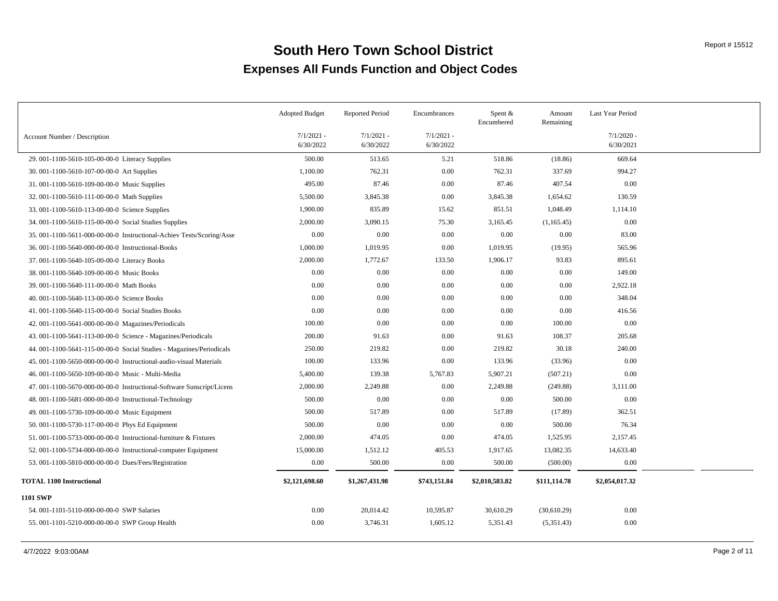|                                                                      | <b>Adopted Budget</b>     | <b>Reported Period</b>    | Encumbrances              | Spent $&$<br>Encumbered | Amount<br>Remaining | Last Year Period          |  |
|----------------------------------------------------------------------|---------------------------|---------------------------|---------------------------|-------------------------|---------------------|---------------------------|--|
| Account Number / Description                                         | $7/1/2021 -$<br>6/30/2022 | $7/1/2021 -$<br>6/30/2022 | $7/1/2021 -$<br>6/30/2022 |                         |                     | $7/1/2020$ -<br>6/30/2021 |  |
| 29. 001-1100-5610-105-00-00-0 Literacy Supplies                      | 500.00                    | 513.65                    | 5.21                      | 518.86                  | (18.86)             | 669.64                    |  |
| 30. 001-1100-5610-107-00-00-0 Art Supplies                           | 1,100.00                  | 762.31                    | 0.00                      | 762.31                  | 337.69              | 994.27                    |  |
| 31.001-1100-5610-109-00-00-0 Music Supplies                          | 495.00                    | 87.46                     | 0.00                      | 87.46                   | 407.54              | 0.00                      |  |
| 32. 001-1100-5610-111-00-00-0 Math Supplies                          | 5,500.00                  | 3,845.38                  | 0.00                      | 3,845.38                | 1,654.62            | 130.59                    |  |
| 33.001-1100-5610-113-00-00-0 Science Supplies                        | 1,900.00                  | 835.89                    | 15.62                     | 851.51                  | 1,048.49            | 1,114.10                  |  |
| 34. 001-1100-5610-115-00-00-0 Social Studies Supplies                | 2,000.00                  | 3,090.15                  | 75.30                     | 3,165.45                | (1,165.45)          | 0.00                      |  |
| 35.001-1100-5611-000-00-00-0 Instructional-Achiev Tests/Scoring/Asse | 0.00                      | 0.00                      | 0.00                      | $0.00\,$                | 0.00                | 83.00                     |  |
| 36. 001-1100-5640-000-00-00-0 Instructional-Books                    | 1,000.00                  | 1,019.95                  | 0.00                      | 1,019.95                | (19.95)             | 565.96                    |  |
| 37.001-1100-5640-105-00-00-0 Literacy Books                          | 2,000.00                  | 1,772.67                  | 133.50                    | 1,906.17                | 93.83               | 895.61                    |  |
| 38.001-1100-5640-109-00-00-0 Music Books                             | 0.00                      | 0.00                      | 0.00                      | 0.00                    | 0.00                | 149.00                    |  |
| 39. 001-1100-5640-111-00-00-0 Math Books                             | 0.00                      | 0.00                      | 0.00                      | 0.00                    | 0.00                | 2,922.18                  |  |
| 40.001-1100-5640-113-00-00-0 Science Books                           | 0.00                      | 0.00                      | 0.00                      | 0.00                    | 0.00                | 348.04                    |  |
| 41.001-1100-5640-115-00-00-0 Social Studies Books                    | 0.00                      | 0.00                      | 0.00                      | 0.00                    | 0.00                | 416.56                    |  |
| 42.001-1100-5641-000-00-00-0 Magazines/Periodicals                   | 100.00                    | 0.00                      | 0.00                      | 0.00                    | 100.00              | 0.00                      |  |
| 43. 001-1100-5641-113-00-00-0 Science - Magazines/Periodicals        | 200.00                    | 91.63                     | 0.00                      | 91.63                   | 108.37              | 205.68                    |  |
| 44. 001-1100-5641-115-00-00-0 Social Studies - Magazines/Periodicals | 250.00                    | 219.82                    | 0.00                      | 219.82                  | 30.18               | 240.00                    |  |
| 45.001-1100-5650-000-00-00-0 Instructional-audio-visual Materials    | 100.00                    | 133.96                    | 0.00                      | 133.96                  | (33.96)             | 0.00                      |  |
| 46.001-1100-5650-109-00-00-0 Music - Multi-Media                     | 5,400.00                  | 139.38                    | 5,767.83                  | 5,907.21                | (507.21)            | 0.00                      |  |
| 47.001-1100-5670-000-00-00-0 Instructional-Software Sunscript/Licens | 2,000.00                  | 2,249.88                  | 0.00                      | 2,249.88                | (249.88)            | 3,111.00                  |  |
| 48.001-1100-5681-000-00-00-0 Instructional-Technology                | 500.00                    | 0.00                      | 0.00                      | 0.00                    | 500.00              | 0.00                      |  |
| 49.001-1100-5730-109-00-00-0 Music Equipment                         | 500.00                    | 517.89                    | 0.00                      | 517.89                  | (17.89)             | 362.51                    |  |
| 50. 001-1100-5730-117-00-00-0 Phys Ed Equipment                      | 500.00                    | 0.00                      | 0.00                      | 0.00                    | 500.00              | 76.34                     |  |
| 51.001-1100-5733-000-00-00-0 Instructional-furniture & Fixtures      | 2,000.00                  | 474.05                    | 0.00                      | 474.05                  | 1,525.95            | 2,157.45                  |  |
| 52. 001-1100-5734-000-00-00-0 Instructional-computer Equipment       | 15,000.00                 | 1,512.12                  | 405.53                    | 1,917.65                | 13,082.35           | 14,633.40                 |  |
| 53. 001-1100-5810-000-00-00-0 Dues/Fees/Registration                 | 0.00                      | 500.00                    | 0.00                      | 500.00                  | (500.00)            | 0.00                      |  |
| <b>TOTAL 1100 Instructional</b>                                      | \$2,121,698.60            | \$1,267,431.98            | \$743,151.84              | \$2,010,583.82          | \$111,114.78        | \$2,054,017.32            |  |
| <b>1101 SWP</b>                                                      |                           |                           |                           |                         |                     |                           |  |
| 54.001-1101-5110-000-00-00-0 SWP Salaries                            | 0.00                      | 20,014.42                 | 10,595.87                 | 30,610.29               | (30,610.29)         | 0.00                      |  |
| 55. 001-1101-5210-000-00-00-0 SWP Group Health                       | 0.00                      | 3,746.31                  | 1,605.12                  | 5,351.43                | (5,351.43)          | 0.00                      |  |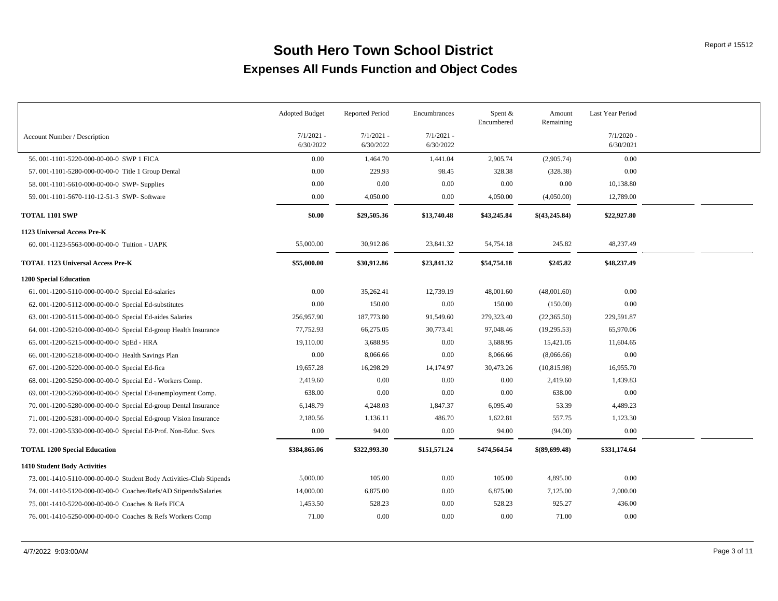|                                                                     | <b>Adopted Budget</b>     | <b>Reported Period</b>    | Encumbrances              | Spent &<br>Encumbered | Amount<br>Remaining | Last Year Period          |  |
|---------------------------------------------------------------------|---------------------------|---------------------------|---------------------------|-----------------------|---------------------|---------------------------|--|
| Account Number / Description                                        | $7/1/2021$ -<br>6/30/2022 | $7/1/2021 -$<br>6/30/2022 | $7/1/2021$ -<br>6/30/2022 |                       |                     | $7/1/2020$ -<br>6/30/2021 |  |
| 56.001-1101-5220-000-00-00-0 SWP 1 FICA                             | 0.00                      | 1,464.70                  | 1,441.04                  | 2,905.74              | (2,905.74)          | 0.00                      |  |
| 57. 001-1101-5280-000-00-00-0 Title 1 Group Dental                  | 0.00                      | 229.93                    | 98.45                     | 328.38                | (328.38)            | 0.00                      |  |
| 58.001-1101-5610-000-00-00-0 SWP- Supplies                          | 0.00                      | 0.00                      | 0.00                      | 0.00                  | 0.00                | 10,138.80                 |  |
| 59. 001-1101-5670-110-12-51-3 SWP- Software                         | 0.00                      | 4,050.00                  | 0.00                      | 4,050.00              | (4,050.00)          | 12,789.00                 |  |
| <b>TOTAL 1101 SWP</b>                                               | \$0.00                    | \$29,505.36               | \$13,740.48               | \$43,245.84           | \$(43,245.84)       | \$22,927.80               |  |
| 1123 Universal Access Pre-K                                         |                           |                           |                           |                       |                     |                           |  |
| 60.001-1123-5563-000-00-00-0 Tuition - UAPK                         | 55,000.00                 | 30,912.86                 | 23,841.32                 | 54,754.18             | 245.82              | 48,237.49                 |  |
| <b>TOTAL 1123 Universal Access Pre-K</b>                            | \$55,000.00               | \$30,912.86               | \$23,841.32               | \$54,754.18           | \$245.82            | \$48,237.49               |  |
| <b>1200 Special Education</b>                                       |                           |                           |                           |                       |                     |                           |  |
| 61.001-1200-5110-000-00-00-0 Special Ed-salaries                    | 0.00                      | 35,262.41                 | 12,739.19                 | 48,001.60             | (48,001.60)         | 0.00                      |  |
| 62. 001-1200-5112-000-00-00-0 Special Ed-substitutes                | 0.00                      | 150.00                    | 0.00                      | 150.00                | (150.00)            | 0.00                      |  |
| 63. 001-1200-5115-000-00-00-0 Special Ed-aides Salaries             | 256,957.90                | 187,773.80                | 91,549.60                 | 279,323.40            | (22,365.50)         | 229,591.87                |  |
| 64. 001-1200-5210-000-00-00-0 Special Ed-group Health Insurance     | 77,752.93                 | 66,275.05                 | 30,773.41                 | 97,048.46             | (19, 295.53)        | 65,970.06                 |  |
| 65.001-1200-5215-000-00-00-0 SpEd - HRA                             | 19,110.00                 | 3,688.95                  | 0.00                      | 3,688.95              | 15,421.05           | 11,604.65                 |  |
| 66. 001-1200-5218-000-00-00-0 Health Savings Plan                   | 0.00                      | 8,066.66                  | 0.00                      | 8,066.66              | (8,066.66)          | 0.00                      |  |
| 67.001-1200-5220-000-00-00-0 Special Ed-fica                        | 19,657.28                 | 16,298.29                 | 14,174.97                 | 30,473.26             | (10, 815.98)        | 16,955.70                 |  |
| 68. 001-1200-5250-000-00-00-00 Special Ed - Workers Comp.           | 2,419.60                  | 0.00                      | 0.00                      | 0.00                  | 2,419.60            | 1,439.83                  |  |
| 69. 001-1200-5260-000-00-00-00 Special Ed-unemployment Comp.        | 638.00                    | 0.00                      | 0.00                      | 0.00                  | 638.00              | 0.00                      |  |
| 70. 001-1200-5280-000-00-00-00 Special Ed-group Dental Insurance    | 6,148.79                  | 4,248.03                  | 1,847.37                  | 6,095.40              | 53.39               | 4,489.23                  |  |
| 71.001-1200-5281-000-00-00-0 Special Ed-group Vision Insurance      | 2,180.56                  | 1,136.11                  | 486.70                    | 1,622.81              | 557.75              | 1,123.30                  |  |
| 72. 001-1200-5330-000-00-00-0 Special Ed-Prof. Non-Educ. Svcs       | 0.00                      | 94.00                     | 0.00                      | 94.00                 | (94.00)             | 0.00                      |  |
| <b>TOTAL 1200 Special Education</b>                                 | \$384,865.06              | \$322,993.30              | \$151,571.24              | \$474,564.54          | \$(89,699.48)       | \$331,174.64              |  |
| 1410 Student Body Activities                                        |                           |                           |                           |                       |                     |                           |  |
| 73. 001-1410-5110-000-00-00-0 Student Body Activities-Club Stipends | 5,000.00                  | 105.00                    | 0.00                      | 105.00                | 4,895.00            | 0.00                      |  |
| 74. 001-1410-5120-000-00-00-0 Coaches/Refs/AD Stipends/Salaries     | 14,000.00                 | 6,875.00                  | 0.00                      | 6,875.00              | 7,125.00            | 2,000.00                  |  |
| 75.001-1410-5220-000-00-00-0 Coaches & Refs FICA                    | 1,453.50                  | 528.23                    | 0.00                      | 528.23                | 925.27              | 436.00                    |  |
| 76. 001-1410-5250-000-00-00-00 Coaches & Refs Workers Comp          | 71.00                     | 0.00                      | 0.00                      | 0.00                  | 71.00               | 0.00                      |  |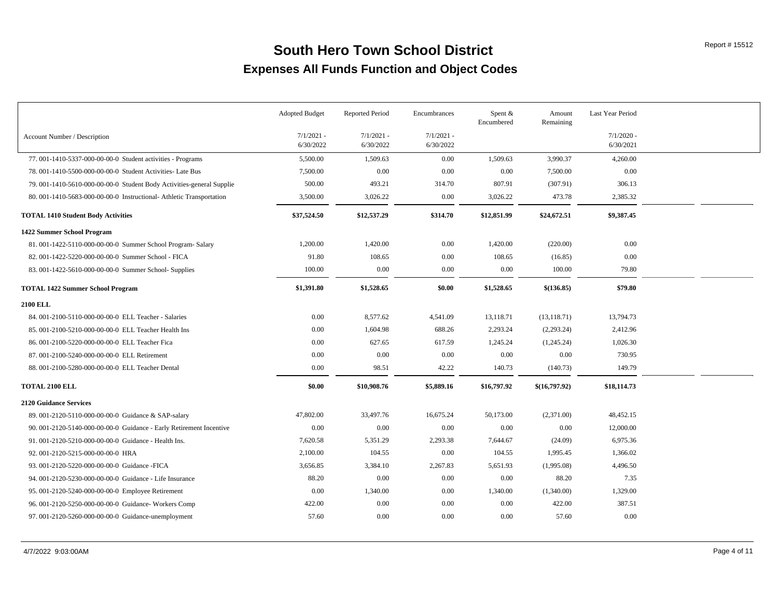|                                                                        | <b>Adopted Budget</b>     | <b>Reported Period</b>    | Encumbrances              | Spent &<br>Encumbered | Amount<br>Remaining | Last Year Period          |  |
|------------------------------------------------------------------------|---------------------------|---------------------------|---------------------------|-----------------------|---------------------|---------------------------|--|
| Account Number / Description                                           | $7/1/2021$ -<br>6/30/2022 | $7/1/2021 -$<br>6/30/2022 | $7/1/2021$ -<br>6/30/2022 |                       |                     | $7/1/2020$ -<br>6/30/2021 |  |
| 77. 001-1410-5337-000-00-00-0 Student activities - Programs            | 5,500.00                  | 1,509.63                  | 0.00                      | 1,509.63              | 3,990.37            | 4,260.00                  |  |
| 78. 001-1410-5500-000-00-00-0 Student Activities- Late Bus             | 7,500.00                  | 0.00                      | 0.00                      | 0.00                  | 7,500.00            | 0.00                      |  |
| 79. 001-1410-5610-000-00-00-0. Student Body Activities-general Supplie | 500.00                    | 493.21                    | 314.70                    | 807.91                | (307.91)            | 306.13                    |  |
| 80. 001-1410-5683-000-00-00-0 Instructional-Athletic Transportation    | 3,500.00                  | 3,026.22                  | 0.00                      | 3,026.22              | 473.78              | 2,385.32                  |  |
| <b>TOTAL 1410 Student Body Activities</b>                              | \$37,524.50               | \$12,537.29               | \$314.70                  | \$12,851.99           | \$24,672.51         | \$9,387.45                |  |
| 1422 Summer School Program                                             |                           |                           |                           |                       |                     |                           |  |
| 81.001-1422-5110-000-00-00-0 Summer School Program-Salary              | 1,200.00                  | 1,420.00                  | 0.00                      | 1,420.00              | (220.00)            | 0.00                      |  |
| 82. 001-1422-5220-000-00-00-00 Summer School - FICA                    | 91.80                     | 108.65                    | 0.00                      | 108.65                | (16.85)             | 0.00                      |  |
| 83. 001-1422-5610-000-00-00-0 Summer School- Supplies                  | 100.00                    | 0.00                      | 0.00                      | 0.00                  | 100.00              | 79.80                     |  |
| <b>TOTAL 1422 Summer School Program</b>                                | \$1,391.80                | \$1,528.65                | \$0.00                    | \$1,528.65            | \$(136.85)          | \$79.80                   |  |
| <b>2100 ELL</b>                                                        |                           |                           |                           |                       |                     |                           |  |
| 84. 001-2100-5110-000-00-00-0 ELL Teacher - Salaries                   | 0.00                      | 8,577.62                  | 4,541.09                  | 13,118.71             | (13, 118.71)        | 13,794.73                 |  |
| 85. 001-2100-5210-000-00-00-00 ELL Teacher Health Ins                  | 0.00                      | 1,604.98                  | 688.26                    | 2,293.24              | (2,293.24)          | 2,412.96                  |  |
| 86. 001-2100-5220-000-00-00-0 ELL Teacher Fica                         | 0.00                      | 627.65                    | 617.59                    | 1,245.24              | (1,245.24)          | 1,026.30                  |  |
| 87.001-2100-5240-000-00-00-0 ELL Retirement                            | 0.00                      | 0.00                      | 0.00                      | 0.00                  | 0.00                | 730.95                    |  |
| 88. 001-2100-5280-000-00-00-0 ELL Teacher Dental                       | 0.00                      | 98.51                     | 42.22                     | 140.73                | (140.73)            | 149.79                    |  |
| <b>TOTAL 2100 ELL</b>                                                  | \$0.00                    | \$10,908.76               | \$5,889.16                | \$16,797.92           | \$(16,797.92)       | \$18,114.73               |  |
| <b>2120 Guidance Services</b>                                          |                           |                           |                           |                       |                     |                           |  |
| 89. 001-2120-5110-000-00-00-0 Guidance & SAP-salary                    | 47,802.00                 | 33,497.76                 | 16,675.24                 | 50,173.00             | (2,371.00)          | 48,452.15                 |  |
| 90. 001-2120-5140-000-00-00-0 Guidance - Early Retirement Incentive    | 0.00                      | 0.00                      | 0.00                      | 0.00                  | 0.00                | 12,000.00                 |  |
| 91.001-2120-5210-000-00-00-0 Guidance - Health Ins.                    | 7,620.58                  | 5,351.29                  | 2,293.38                  | 7,644.67              | (24.09)             | 6,975.36                  |  |
| 92. 001-2120-5215-000-00-00-0 HRA                                      | 2,100.00                  | 104.55                    | 0.00                      | 104.55                | 1,995.45            | 1,366.02                  |  |
| 93. 001-2120-5220-000-00-00-0 Guidance -FICA                           | 3,656.85                  | 3,384.10                  | 2,267.83                  | 5,651.93              | (1,995.08)          | 4,496.50                  |  |
| 94. 001-2120-5230-000-00-00-0 Guidance - Life Insurance                | 88.20                     | 0.00                      | 0.00                      | 0.00                  | 88.20               | 7.35                      |  |
| 95. 001-2120-5240-000-00-00-0 Employee Retirement                      | 0.00                      | 1,340.00                  | 0.00                      | 1,340.00              | (1,340.00)          | 1,329.00                  |  |
| 96. 001-2120-5250-000-00-00-00 Guidance- Workers Comp                  | 422.00                    | 0.00                      | 0.00                      | 0.00                  | 422.00              | 387.51                    |  |
| 97. 001-2120-5260-000-00-00-0 Guidance-unemployment                    | 57.60                     | 0.00                      | 0.00                      | 0.00                  | 57.60               | 0.00                      |  |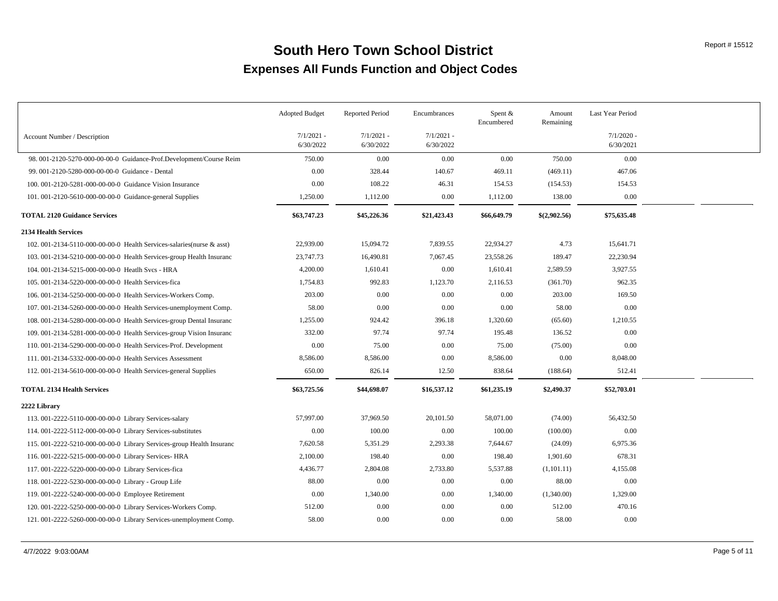|                                                                        | <b>Adopted Budget</b>     | <b>Reported Period</b>    | Encumbrances              | Spent $&$<br>Encumbered | Amount<br>Remaining | Last Year Period          |  |
|------------------------------------------------------------------------|---------------------------|---------------------------|---------------------------|-------------------------|---------------------|---------------------------|--|
| Account Number / Description                                           | $7/1/2021$ -<br>6/30/2022 | $7/1/2021$ -<br>6/30/2022 | $7/1/2021$ -<br>6/30/2022 |                         |                     | $7/1/2020$ -<br>6/30/2021 |  |
| 98. 001-2120-5270-000-00-00-00 Guidance-Prof.Development/Course Reim   | 750.00                    | 0.00                      | 0.00                      | 0.00                    | 750.00              | 0.00                      |  |
| 99. 001-2120-5280-000-00-00-0 Guidance - Dental                        | 0.00                      | 328.44                    | 140.67                    | 469.11                  | (469.11)            | 467.06                    |  |
| 100. 001-2120-5281-000-00-00-0 Guidance Vision Insurance               | 0.00                      | 108.22                    | 46.31                     | 154.53                  | (154.53)            | 154.53                    |  |
| 101.001-2120-5610-000-00-00-0 Guidance-general Supplies                | 1,250.00                  | 1,112.00                  | 0.00                      | 1,112.00                | 138.00              | 0.00                      |  |
| <b>TOTAL 2120 Guidance Services</b>                                    | \$63,747.23               | \$45,226.36               | \$21,423.43               | \$66,649.79             | \$(2,902.56)        | \$75,635.48               |  |
| <b>2134 Health Services</b>                                            |                           |                           |                           |                         |                     |                           |  |
| 102. 001-2134-5110-000-00-00-0 Health Services-salaries (nurse & asst) | 22,939.00                 | 15,094.72                 | 7,839.55                  | 22,934.27               | 4.73                | 15,641.71                 |  |
| 103. 001-2134-5210-000-00-00-0 Health Services-group Health Insuranc   | 23,747.73                 | 16,490.81                 | 7,067.45                  | 23,558.26               | 189.47              | 22,230.94                 |  |
| 104. 001-2134-5215-000-00-00-0 Heatlh Svcs - HRA                       | 4,200.00                  | 1,610.41                  | 0.00                      | 1,610.41                | 2,589.59            | 3,927.55                  |  |
| 105, 001-2134-5220-000-00-00-0 Health Services-fica                    | 1,754.83                  | 992.83                    | 1,123.70                  | 2,116.53                | (361.70)            | 962.35                    |  |
| 106. 001-2134-5250-000-00-00-0 Health Services-Workers Comp.           | 203.00                    | 0.00                      | 0.00                      | 0.00                    | 203.00              | 169.50                    |  |
| 107.001-2134-5260-000-00-00-0 Health Services-unemployment Comp.       | 58.00                     | 0.00                      | 0.00                      | 0.00                    | 58.00               | 0.00                      |  |
| 108. 001-2134-5280-000-00-00-00 Health Services-group Dental Insuranc  | 1,255.00                  | 924.42                    | 396.18                    | 1,320.60                | (65.60)             | 1,210.55                  |  |
| 109. 001-2134-5281-000-00-00-0 Health Services-group Vision Insuranc   | 332.00                    | 97.74                     | 97.74                     | 195.48                  | 136.52              | 0.00                      |  |
| 110.001-2134-5290-000-00-00-0 Health Services-Prof. Development        | 0.00                      | 75.00                     | 0.00                      | 75.00                   | (75.00)             | 0.00                      |  |
| 111. 001-2134-5332-000-00-00-0 Health Services Assessment              | 8,586.00                  | 8,586.00                  | 0.00                      | 8,586.00                | 0.00                | 8,048.00                  |  |
| 112. 001-2134-5610-000-00-00-0 Health Services-general Supplies        | 650.00                    | 826.14                    | 12.50                     | 838.64                  | (188.64)            | 512.41                    |  |
| <b>TOTAL 2134 Health Services</b>                                      | \$63,725.56               | \$44,698.07               | \$16,537.12               | \$61,235.19             | \$2,490.37          | \$52,703.01               |  |
| 2222 Library                                                           |                           |                           |                           |                         |                     |                           |  |
| 113. 001-2222-5110-000-00-00-0 Library Services-salary                 | 57,997.00                 | 37,969.50                 | 20,101.50                 | 58,071.00               | (74.00)             | 56,432.50                 |  |
| 114.001-2222-5112-000-00-00-0 Library Services-substitutes             | 0.00                      | 100.00                    | 0.00                      | 100.00                  | (100.00)            | 0.00                      |  |
| 115. 001-2222-5210-000-00-00-0 Library Services-group Health Insuranc  | 7,620.58                  | 5,351.29                  | 2,293.38                  | 7,644.67                | (24.09)             | 6,975.36                  |  |
| 116. 001-2222-5215-000-00-00-0 Library Services- HRA                   | 2,100.00                  | 198.40                    | 0.00                      | 198.40                  | 1,901.60            | 678.31                    |  |
| 117. 001-2222-5220-000-00-00-0 Library Services-fica                   | 4,436.77                  | 2,804.08                  | 2,733.80                  | 5,537.88                | (1,101.11)          | 4,155.08                  |  |
| 118. 001-2222-5230-000-00-00-0 Library - Group Life                    | 88.00                     | 0.00                      | 0.00                      | 0.00                    | 88.00               | 0.00                      |  |
| 119. 001-2222-5240-000-00-00-0 Employee Retirement                     | 0.00                      | 1,340.00                  | 0.00                      | 1,340.00                | (1,340.00)          | 1,329.00                  |  |
| 120. 001-2222-5250-000-00-00-0 Library Services-Workers Comp.          | 512.00                    | 0.00                      | 0.00                      | 0.00                    | 512.00              | 470.16                    |  |
| 121. 001-2222-5260-000-00-00-0 Library Services-unemployment Comp.     | 58.00                     | 0.00                      | 0.00                      | 0.00                    | 58.00               | 0.00                      |  |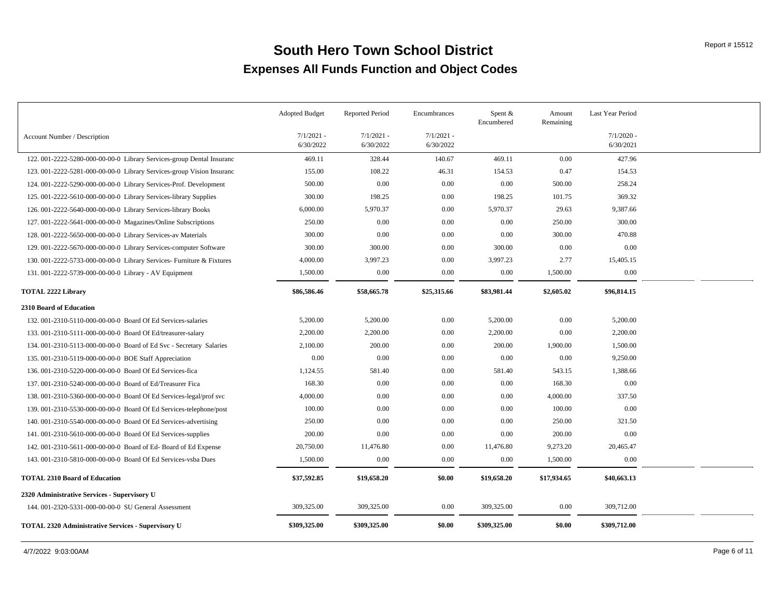|                                                                       | <b>Adopted Budget</b>     | <b>Reported Period</b>    | Encumbrances              | Spent $&$<br>Encumbered | Amount<br>Remaining | Last Year Period          |  |
|-----------------------------------------------------------------------|---------------------------|---------------------------|---------------------------|-------------------------|---------------------|---------------------------|--|
| Account Number / Description                                          | $7/1/2021$ -<br>6/30/2022 | $7/1/2021 -$<br>6/30/2022 | $7/1/2021$ -<br>6/30/2022 |                         |                     | $7/1/2020$ -<br>6/30/2021 |  |
| 122. 001-2222-5280-000-00-00-0 Library Services-group Dental Insuranc | 469.11                    | 328.44                    | 140.67                    | 469.11                  | 0.00                | 427.96                    |  |
| 123. 001-2222-5281-000-00-00-0 Library Services-group Vision Insuranc | 155.00                    | 108.22                    | 46.31                     | 154.53                  | 0.47                | 154.53                    |  |
| 124. 001-2222-5290-000-00-00-0 Library Services-Prof. Development     | 500.00                    | $0.00\,$                  | 0.00                      | 0.00                    | 500.00              | 258.24                    |  |
| 125.001-2222-5610-000-00-00-0 Library Services-library Supplies       | 300.00                    | 198.25                    | 0.00                      | 198.25                  | 101.75              | 369.32                    |  |
| 126. 001-2222-5640-000-00-00-0 Library Services-library Books         | 6,000.00                  | 5,970.37                  | 0.00                      | 5,970.37                | 29.63               | 9,387.66                  |  |
| 127.001-2222-5641-000-00-00-0 Magazines/Online Subscriptions          | 250.00                    | $0.00\,$                  | 0.00                      | 0.00                    | 250.00              | 300.00                    |  |
| 128. 001-2222-5650-000-00-00-0 Library Services-av Materials          | 300.00                    | 0.00                      | 0.00                      | 0.00                    | 300.00              | 470.88                    |  |
| 129. 001-2222-5670-000-00-00-0 Library Services-computer Software     | 300.00                    | 300.00                    | 0.00                      | 300.00                  | 0.00                | 0.00                      |  |
| 130. 001-2222-5733-000-00-00-0 Library Services- Furniture & Fixtures | 4,000.00                  | 3,997.23                  | 0.00                      | 3,997.23                | 2.77                | 15,405.15                 |  |
| 131.001-2222-5739-000-00-00-0 Library - AV Equipment                  | 1,500.00                  | 0.00                      | 0.00                      | 0.00                    | 1,500.00            | 0.00                      |  |
| <b>TOTAL 2222 Library</b>                                             | \$86,586.46               | \$58,665.78               | \$25,315.66               | \$83,981.44             | \$2,605.02          | \$96,814.15               |  |
| 2310 Board of Education                                               |                           |                           |                           |                         |                     |                           |  |
| 132. 001-2310-5110-000-00-00-0 Board Of Ed Services-salaries          | 5,200.00                  | 5,200.00                  | 0.00                      | 5,200.00                | 0.00                | 5,200.00                  |  |
| 133. 001-2310-5111-000-00-00-0 Board Of Ed/treasurer-salary           | 2,200.00                  | 2,200.00                  | 0.00                      | 2,200.00                | 0.00                | 2,200.00                  |  |
| 134. 001-2310-5113-000-00-00-0 Board of Ed Svc - Secretary Salaries   | 2,100.00                  | 200.00                    | 0.00                      | 200.00                  | 1,900.00            | 1,500.00                  |  |
| 135.001-2310-5119-000-00-00-0 BOE Staff Appreciation                  | 0.00                      | 0.00                      | 0.00                      | 0.00                    | 0.00                | 9,250.00                  |  |
| 136. 001-2310-5220-000-00-00-0 Board Of Ed Services-fica              | 1,124.55                  | 581.40                    | 0.00                      | 581.40                  | 543.15              | 1,388.66                  |  |
| 137. 001-2310-5240-000-00-00-0 Board of Ed/Treasurer Fica             | 168.30                    | 0.00                      | 0.00                      | 0.00                    | 168.30              | 0.00                      |  |
| 138. 001-2310-5360-000-00-00-0 Board Of Ed Services-legal/prof svc    | 4,000.00                  | $0.00\,$                  | 0.00                      | 0.00                    | 4,000.00            | 337.50                    |  |
| 139. 001-2310-5530-000-00-00-0 Board Of Ed Services-telephone/post    | 100.00                    | 0.00                      | 0.00                      | 0.00                    | 100.00              | 0.00                      |  |
| 140.001-2310-5540-000-00-00-0 Board Of Ed Services-advertising        | 250.00                    | 0.00                      | 0.00                      | $0.00\,$                | 250.00              | 321.50                    |  |
| 141.001-2310-5610-000-00-00-0 Board Of Ed Services-supplies           | 200.00                    | 0.00                      | 0.00                      | 0.00                    | 200.00              | 0.00                      |  |
| 142. 001-2310-5611-000-00-00-0 Board of Ed- Board of Ed Expense       | 20,750.00                 | 11,476.80                 | 0.00                      | 11,476.80               | 9,273.20            | 20,465.47                 |  |
| 143. 001-2310-5810-000-00-00-0 Board Of Ed Services-vsba Dues         | 1,500.00                  | 0.00                      | 0.00                      | 0.00                    | 1,500.00            | 0.00                      |  |
| <b>TOTAL 2310 Board of Education</b>                                  | \$37,592.85               | \$19,658.20               | \$0.00                    | \$19,658.20             | \$17,934.65         | \$40,663.13               |  |
| 2320 Administrative Services - Supervisory U                          |                           |                           |                           |                         |                     |                           |  |
| 144. 001-2320-5331-000-00-00-0 SU General Assessment                  | 309,325.00                | 309,325.00                | 0.00                      | 309,325.00              | 0.00                | 309,712.00                |  |
| <b>TOTAL 2320 Administrative Services - Supervisory U</b>             | \$309,325.00              | \$309,325.00              | \$0.00                    | \$309,325.00            | \$0.00              | \$309,712.00              |  |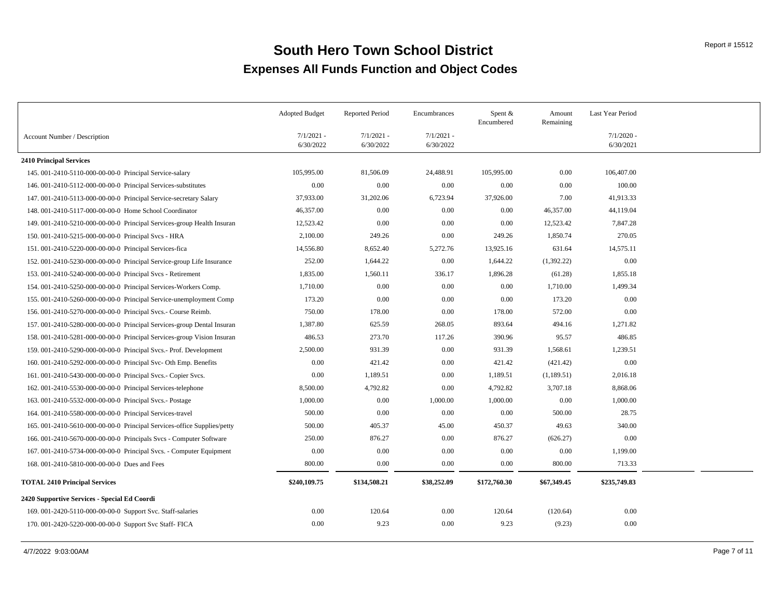|                                                                        | <b>Adopted Budget</b>     | <b>Reported Period</b>    | Encumbrances              | Spent &<br>Encumbered | Amount<br>Remaining | Last Year Period          |  |
|------------------------------------------------------------------------|---------------------------|---------------------------|---------------------------|-----------------------|---------------------|---------------------------|--|
| Account Number / Description                                           | $7/1/2021$ -<br>6/30/2022 | $7/1/2021 -$<br>6/30/2022 | $7/1/2021$ -<br>6/30/2022 |                       |                     | $7/1/2020$ -<br>6/30/2021 |  |
| 2410 Principal Services                                                |                           |                           |                           |                       |                     |                           |  |
| 145.001-2410-5110-000-00-00-0 Principal Service-salary                 | 105,995.00                | 81,506.09                 | 24,488.91                 | 105,995.00            | $0.00\,$            | 106,407.00                |  |
| 146. 001-2410-5112-000-00-00-0 Principal Services-substitutes          | 0.00                      | 0.00                      | 0.00                      | 0.00                  | 0.00                | 100.00                    |  |
| 147. 001-2410-5113-000-00-00-0 Principal Service-secretary Salary      | 37,933.00                 | 31,202.06                 | 6,723.94                  | 37,926.00             | 7.00                | 41,913.33                 |  |
| 148. 001-2410-5117-000-00-00-0 Home School Coordinator                 | 46,357.00                 | 0.00                      | 0.00                      | 0.00                  | 46,357.00           | 44,119.04                 |  |
| 149. 001-2410-5210-000-00-00-0 Principal Services-group Health Insuran | 12,523.42                 | 0.00                      | 0.00                      | 0.00                  | 12,523.42           | 7,847.28                  |  |
| 150. 001-2410-5215-000-00-00-0 Principal Svcs - HRA                    | 2,100.00                  | 249.26                    | 0.00                      | 249.26                | 1,850.74            | 270.05                    |  |
| 151.001-2410-5220-000-00-00-0 Principal Services-fica                  | 14,556.80                 | 8,652.40                  | 5,272.76                  | 13,925.16             | 631.64              | 14,575.11                 |  |
| 152. 001-2410-5230-000-00-00-0 Principal Service-group Life Insurance  | 252.00                    | 1,644.22                  | 0.00                      | 1,644.22              | (1,392.22)          | 0.00                      |  |
| 153. 001-2410-5240-000-00-00-0 Principal Svcs - Retirement             | 1,835.00                  | 1,560.11                  | 336.17                    | 1,896.28              | (61.28)             | 1,855.18                  |  |
| 154.001-2410-5250-000-00-00-0 Principal Services-Workers Comp.         | 1,710.00                  | 0.00                      | 0.00                      | $0.00\,$              | 1,710.00            | 1,499.34                  |  |
| 155. 001-2410-5260-000-00-00-0 Principal Service-unemployment Comp     | 173.20                    | 0.00                      | 0.00                      | 0.00                  | 173.20              | 0.00                      |  |
| 156. 001-2410-5270-000-00-00-0 Principal Svcs.- Course Reimb.          | 750.00                    | 178.00                    | 0.00                      | 178.00                | 572.00              | 0.00                      |  |
| 157. 001-2410-5280-000-00-00-0 Principal Services-group Dental Insuran | 1,387.80                  | 625.59                    | 268.05                    | 893.64                | 494.16              | 1,271.82                  |  |
| 158.001-2410-5281-000-00-00-0 Principal Services-group Vision Insuran  | 486.53                    | 273.70                    | 117.26                    | 390.96                | 95.57               | 486.85                    |  |
| 159. 001-2410-5290-000-00-00-0 Principal Svcs.- Prof. Development      | 2,500.00                  | 931.39                    | 0.00                      | 931.39                | 1,568.61            | 1,239.51                  |  |
| 160. 001-2410-5292-000-00-00-0 Principal Svc- Oth Emp. Benefits        | 0.00                      | 421.42                    | 0.00                      | 421.42                | (421.42)            | 0.00                      |  |
| 161. 001-2410-5430-000-00-00-0 Principal Svcs. - Copier Svcs.          | 0.00                      | 1,189.51                  | 0.00                      | 1,189.51              | (1,189.51)          | 2,016.18                  |  |
| 162. 001-2410-5530-000-00-00-0 Principal Services-telephone            | 8,500.00                  | 4,792.82                  | 0.00                      | 4,792.82              | 3,707.18            | 8,868.06                  |  |
| 163. 001-2410-5532-000-00-00-0 Principal Svcs.- Postage                | 1,000.00                  | 0.00                      | 1,000.00                  | 1,000.00              | $0.00\,$            | 1,000.00                  |  |
| 164. 001-2410-5580-000-00-00-0 Principal Services-travel               | 500.00                    | 0.00                      | 0.00                      | $0.00\,$              | 500.00              | 28.75                     |  |
| 165.001-2410-5610-000-00-00-0 Principal Services-office Supplies/petty | 500.00                    | 405.37                    | 45.00                     | 450.37                | 49.63               | 340.00                    |  |
| 166. 001-2410-5670-000-00-00-00 Principals Svcs - Computer Software    | 250.00                    | 876.27                    | 0.00                      | 876.27                | (626.27)            | 0.00                      |  |
| 167. 001-2410-5734-000-00-00-0 Principal Svcs. - Computer Equipment    | 0.00                      | 0.00                      | 0.00                      | 0.00                  | 0.00                | 1,199.00                  |  |
| 168. 001-2410-5810-000-00-00-0 Dues and Fees                           | 800.00                    | 0.00                      | 0.00                      | 0.00                  | 800.00              | 713.33                    |  |
| <b>TOTAL 2410 Principal Services</b>                                   | \$240,109.75              | \$134,508.21              | \$38,252.09               | \$172,760.30          | \$67,349.45         | \$235,749.83              |  |
| 2420 Supportive Services - Special Ed Coordi                           |                           |                           |                           |                       |                     |                           |  |
| 169. 001-2420-5110-000-00-00-0 Support Svc. Staff-salaries             | 0.00                      | 120.64                    | 0.00                      | 120.64                | (120.64)            | 0.00                      |  |
| 170. 001-2420-5220-000-00-00-00 Support Svc Staff- FICA                | 0.00                      | 9.23                      | 0.00                      | 9.23                  | (9.23)              | 0.00                      |  |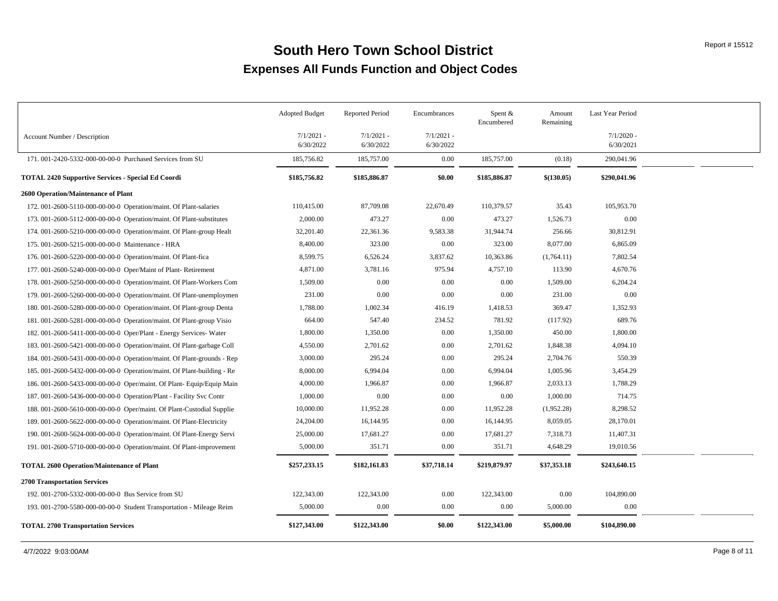|                                                                        | <b>Adopted Budget</b>     | <b>Reported Period</b>    | Encumbrances              | Spent $&$<br>Encumbered | Amount<br>Remaining | Last Year Period          |  |
|------------------------------------------------------------------------|---------------------------|---------------------------|---------------------------|-------------------------|---------------------|---------------------------|--|
| Account Number / Description                                           | $7/1/2021$ -<br>6/30/2022 | $7/1/2021$ -<br>6/30/2022 | $7/1/2021$ -<br>6/30/2022 |                         |                     | $7/1/2020$ -<br>6/30/2021 |  |
| 171.001-2420-5332-000-00-00-0 Purchased Services from SU               | 185,756.82                | 185,757.00                | $0.00\,$                  | 185,757.00              | (0.18)              | 290,041.96                |  |
| <b>TOTAL 2420 Supportive Services - Special Ed Coordi</b>              | \$185,756.82              | \$185,886.87              | \$0.00                    | \$185,886.87            | \$(130.05)          | \$290,041.96              |  |
| 2600 Operation/Maintenance of Plant                                    |                           |                           |                           |                         |                     |                           |  |
| 172. 001-2600-5110-000-00-00-0 Operation/maint. Of Plant-salaries      | 110,415.00                | 87,709.08                 | 22,670.49                 | 110,379.57              | 35.43               | 105,953.70                |  |
| 173. 001-2600-5112-000-00-00-00 Operation/maint. Of Plant-substitutes  | 2,000.00                  | 473.27                    | 0.00                      | 473.27                  | 1,526.73            | 0.00                      |  |
| 174.001-2600-5210-000-00-00-0 Operation/maint. Of Plant-group Healt    | 32,201.40                 | 22,361.36                 | 9,583.38                  | 31,944.74               | 256.66              | 30,812.91                 |  |
| 175. 001-2600-5215-000-00-00-0 Maintenance - HRA                       | 8,400.00                  | 323.00                    | 0.00                      | 323.00                  | 8,077.00            | 6,865.09                  |  |
| 176. 001-2600-5220-000-00-00-0 Operation/maint. Of Plant-fica          | 8,599.75                  | 6,526.24                  | 3,837.62                  | 10,363.86               | (1,764.11)          | 7,802.54                  |  |
| 177. 001-2600-5240-000-00-00-0 Oper/Maint of Plant-Retirement          | 4,871.00                  | 3,781.16                  | 975.94                    | 4,757.10                | 113.90              | 4,670.76                  |  |
| 178. 001-2600-5250-000-00-00-0 Operation/maint. Of Plant-Workers Com   | 1,509.00                  | 0.00                      | 0.00                      | 0.00                    | 1,509.00            | 6,204.24                  |  |
| 179. 001-2600-5260-000-00-00-00 Operation/maint. Of Plant-unemploymen  | 231.00                    | 0.00                      | 0.00                      | 0.00                    | 231.00              | 0.00                      |  |
| 180. 001-2600-5280-000-00-00-00 Operation/maint. Of Plant-group Denta  | 1,788.00                  | 1,002.34                  | 416.19                    | 1,418.53                | 369.47              | 1,352.93                  |  |
| 181.001-2600-5281-000-00-00-0 Operation/maint. Of Plant-group Visio    | 664.00                    | 547.40                    | 234.52                    | 781.92                  | (117.92)            | 689.76                    |  |
| 182. 001-2600-5411-000-00-00-0 Oper/Plant - Energy Services-Water      | 1,800.00                  | 1,350.00                  | 0.00                      | 1,350.00                | 450.00              | 1,800.00                  |  |
| 183.001-2600-5421-000-00-00-00 Operation/maint. Of Plant-garbage Coll  | 4,550.00                  | 2,701.62                  | 0.00                      | 2,701.62                | 1,848.38            | 4,094.10                  |  |
| 184. 001-2600-5431-000-00-00-0 Operation/maint. Of Plant-grounds - Rep | 3,000.00                  | 295.24                    | 0.00                      | 295.24                  | 2,704.76            | 550.39                    |  |
| 185.001-2600-5432-000-00-00-0 Operation/maint. Of Plant-building - Re  | 8,000.00                  | 6,994.04                  | 0.00                      | 6,994.04                | 1,005.96            | 3,454.29                  |  |
| 186. 001-2600-5433-000-00-00-0 Oper/maint. Of Plant- Equip/Equip Main  | 4,000.00                  | 1,966.87                  | 0.00                      | 1,966.87                | 2,033.13            | 1,788.29                  |  |
| 187. 001-2600-5436-000-00-00-0 Operation/Plant - Facility Svc Contr    | 1,000.00                  | 0.00                      | 0.00                      | 0.00                    | 1,000.00            | 714.75                    |  |
| 188. 001-2600-5610-000-00-00-00 Oper/maint. Of Plant-Custodial Supplie | 10,000.00                 | 11,952.28                 | 0.00                      | 11,952.28               | (1,952.28)          | 8,298.52                  |  |
| 189.001-2600-5622-000-00-00-0 Operation/maint. Of Plant-Electricity    | 24,204.00                 | 16,144.95                 | 0.00                      | 16,144.95               | 8,059.05            | 28,170.01                 |  |
| 190.001-2600-5624-000-00-00-0 Operation/maint. Of Plant-Energy Servi   | 25,000.00                 | 17,681.27                 | 0.00                      | 17,681.27               | 7,318.73            | 11,407.31                 |  |
| 191. 001-2600-5710-000-00-00-0 Operation/maint. Of Plant-improvement   | 5,000.00                  | 351.71                    | 0.00                      | 351.71                  | 4,648.29            | 19,010.56                 |  |
| <b>TOTAL 2600 Operation/Maintenance of Plant</b>                       | \$257,233.15              | \$182,161.83              | \$37,718.14               | \$219,879.97            | \$37,353.18         | \$243,640.15              |  |
| <b>2700 Transportation Services</b>                                    |                           |                           |                           |                         |                     |                           |  |
| 192. 001-2700-5332-000-00-00-0 Bus Service from SU                     | 122,343.00                | 122,343.00                | 0.00                      | 122,343.00              | 0.00                | 104,890.00                |  |
| 193. 001-2700-5580-000-00-00-0 Student Transportation - Mileage Reim   | 5,000.00                  | 0.00                      | 0.00                      | 0.00                    | 5,000.00            | 0.00                      |  |
| <b>TOTAL 2700 Transportation Services</b>                              | \$127,343.00              | \$122,343.00              | \$0.00                    | \$122,343.00            | \$5,000.00          | \$104,890.00              |  |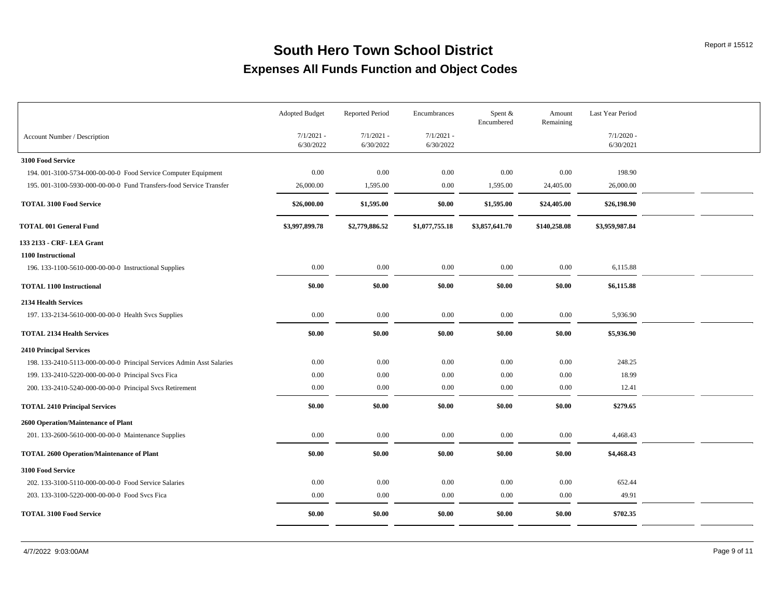|                                                                       | <b>Adopted Budget</b>     | <b>Reported Period</b>    | Encumbrances              | Spent &<br>Encumbered | Amount<br>Remaining | Last Year Period          |  |
|-----------------------------------------------------------------------|---------------------------|---------------------------|---------------------------|-----------------------|---------------------|---------------------------|--|
| Account Number / Description                                          | $7/1/2021 -$<br>6/30/2022 | $7/1/2021 -$<br>6/30/2022 | $7/1/2021 -$<br>6/30/2022 |                       |                     | $7/1/2020$ -<br>6/30/2021 |  |
| 3100 Food Service                                                     |                           |                           |                           |                       |                     |                           |  |
| 194. 001-3100-5734-000-00-00-0 Food Service Computer Equipment        | 0.00                      | 0.00                      | 0.00                      | 0.00                  | 0.00                | 198.90                    |  |
| 195. 001-3100-5930-000-00-00-0 Fund Transfers-food Service Transfer   | 26,000.00                 | 1,595.00                  | 0.00                      | 1,595.00              | 24,405.00           | 26,000.00                 |  |
| <b>TOTAL 3100 Food Service</b>                                        | \$26,000.00               | \$1,595.00                | \$0.00                    | \$1,595.00            | \$24,405.00         | \$26,198.90               |  |
| <b>TOTAL 001 General Fund</b>                                         | \$3,997,899.78            | \$2,779,886.52            | \$1,077,755.18            | \$3,857,641.70        | \$140,258.08        | \$3,959,987.84            |  |
| 133 2133 - CRF- LEA Grant                                             |                           |                           |                           |                       |                     |                           |  |
| 1100 Instructional                                                    |                           |                           |                           |                       |                     |                           |  |
| 196. 133-1100-5610-000-00-00-0 Instructional Supplies                 | $0.00\,$                  | 0.00                      | 0.00                      | 0.00                  | 0.00                | 6,115.88                  |  |
| <b>TOTAL 1100 Instructional</b>                                       | \$0.00                    | \$0.00                    | \$0.00                    | \$0.00                | \$0.00              | \$6,115.88                |  |
| 2134 Health Services                                                  |                           |                           |                           |                       |                     |                           |  |
| 197. 133-2134-5610-000-00-00-0 Health Svcs Supplies                   | 0.00                      | 0.00                      | 0.00                      | 0.00                  | 0.00                | 5,936.90                  |  |
| <b>TOTAL 2134 Health Services</b>                                     | \$0.00                    | \$0.00                    | \$0.00                    | \$0.00                | \$0.00              | \$5,936.90                |  |
| <b>2410 Principal Services</b>                                        |                           |                           |                           |                       |                     |                           |  |
| 198. 133-2410-5113-000-00-00-0 Principal Services Admin Asst Salaries | 0.00                      | 0.00                      | $0.00\,$                  | 0.00                  | 0.00                | 248.25                    |  |
| 199. 133-2410-5220-000-00-00-0 Principal Svcs Fica                    | 0.00                      | 0.00                      | 0.00                      | 0.00                  | 0.00                | 18.99                     |  |
| 200. 133-2410-5240-000-00-00-0 Principal Svcs Retirement              | 0.00                      | 0.00                      | 0.00                      | 0.00                  | 0.00                | 12.41                     |  |
| <b>TOTAL 2410 Principal Services</b>                                  | \$0.00                    | \$0.00                    | \$0.00                    | \$0.00                | \$0.00              | \$279.65                  |  |
| 2600 Operation/Maintenance of Plant                                   |                           |                           |                           |                       |                     |                           |  |
| 201. 133-2600-5610-000-00-00-0 Maintenance Supplies                   | $0.00\,$                  | 0.00                      | 0.00                      | 0.00                  | $0.00\,$            | 4,468.43                  |  |
| <b>TOTAL 2600 Operation/Maintenance of Plant</b>                      | \$0.00                    | \$0.00                    | \$0.00                    | \$0.00                | \$0.00              | \$4,468.43                |  |
| 3100 Food Service                                                     |                           |                           |                           |                       |                     |                           |  |
| 202. 133-3100-5110-000-00-00-0 Food Service Salaries                  | 0.00                      | 0.00                      | 0.00                      | 0.00                  | 0.00                | 652.44                    |  |
| 203. 133-3100-5220-000-00-00-0 Food Svcs Fica                         | $0.00\,$                  | 0.00                      | 0.00                      | 0.00                  | 0.00                | 49.91                     |  |
| <b>TOTAL 3100 Food Service</b>                                        | \$0.00                    | \$0.00                    | \$0.00                    | \$0.00                | \$0.00              | \$702.35                  |  |
|                                                                       |                           |                           |                           |                       |                     |                           |  |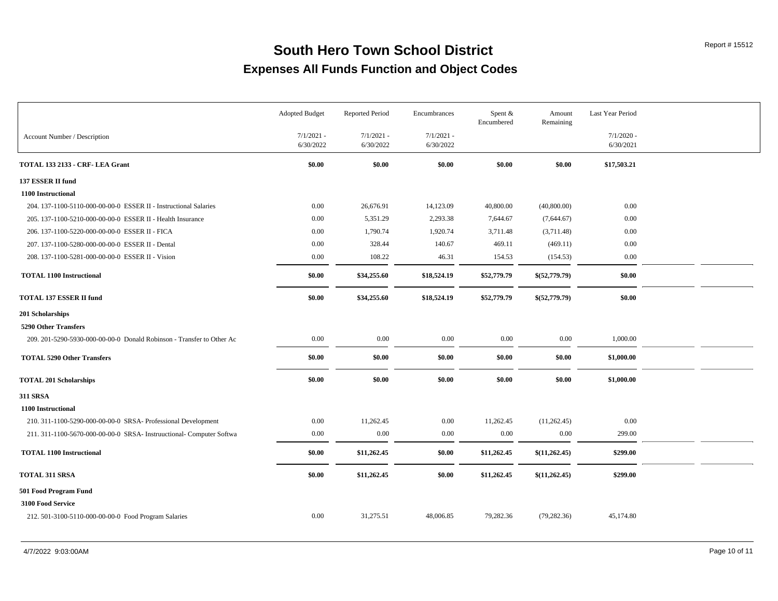|                                                                       | Adopted Budget            | <b>Reported Period</b>    | Encumbrances              | Spent &<br>Encumbered | Amount<br>Remaining | Last Year Period          |  |
|-----------------------------------------------------------------------|---------------------------|---------------------------|---------------------------|-----------------------|---------------------|---------------------------|--|
| Account Number / Description                                          | $7/1/2021$ -<br>6/30/2022 | $7/1/2021$ -<br>6/30/2022 | $7/1/2021$ -<br>6/30/2022 |                       |                     | $7/1/2020$ -<br>6/30/2021 |  |
| TOTAL 133 2133 - CRF- LEA Grant                                       | \$0.00                    | \$0.00                    | \$0.00                    | \$0.00                | \$0.00              | \$17,503.21               |  |
| 137 ESSER II fund                                                     |                           |                           |                           |                       |                     |                           |  |
| 1100 Instructional                                                    |                           |                           |                           |                       |                     |                           |  |
| 204. 137-1100-5110-000-00-00-0 ESSER II - Instructional Salaries      | 0.00                      | 26,676.91                 | 14,123.09                 | 40,800.00             | (40,800.00)         | 0.00                      |  |
| 205. 137-1100-5210-000-00-00-0 ESSER II - Health Insurance            | 0.00                      | 5,351.29                  | 2,293.38                  | 7,644.67              | (7,644.67)          | 0.00                      |  |
| 206. 137-1100-5220-000-00-00-0 ESSER II - FICA                        | 0.00                      | 1,790.74                  | 1,920.74                  | 3,711.48              | (3,711.48)          | 0.00                      |  |
| 207. 137-1100-5280-000-00-00-0 ESSER II - Dental                      | 0.00                      | 328.44                    | 140.67                    | 469.11                | (469.11)            | $0.00\,$                  |  |
| 208. 137-1100-5281-000-00-00-0 ESSER II - Vision                      | 0.00                      | 108.22                    | 46.31                     | 154.53                | (154.53)            | $0.00\,$                  |  |
| <b>TOTAL 1100 Instructional</b>                                       | \$0.00                    | \$34,255.60               | \$18,524.19               | \$52,779.79           | \$(52,779.79)       | \$0.00                    |  |
| <b>TOTAL 137 ESSER II fund</b>                                        | \$0.00                    | \$34,255.60               | \$18,524.19               | \$52,779.79           | \$(52,779.79)       | \$0.00                    |  |
| 201 Scholarships                                                      |                           |                           |                           |                       |                     |                           |  |
| 5290 Other Transfers                                                  |                           |                           |                           |                       |                     |                           |  |
| 209. 201-5290-5930-000-00-00-0 Donald Robinson - Transfer to Other Ac | $0.00\,$                  | 0.00                      | 0.00                      | $0.00\,$              | 0.00                | 1,000.00                  |  |
| <b>TOTAL 5290 Other Transfers</b>                                     | \$0.00                    | \$0.00                    | \$0.00                    | \$0.00                | \$0.00              | \$1,000.00                |  |
| <b>TOTAL 201 Scholarships</b>                                         | \$0.00                    | \$0.00                    | \$0.00                    | \$0.00                | \$0.00              | \$1,000.00                |  |
| 311 SRSA                                                              |                           |                           |                           |                       |                     |                           |  |
| <b>1100 Instructional</b>                                             |                           |                           |                           |                       |                     |                           |  |
| 210. 311-1100-5290-000-00-00-0 SRSA- Professional Development         | 0.00                      | 11,262.45                 | 0.00                      | 11,262.45             | (11,262.45)         | 0.00                      |  |
| 211. 311-1100-5670-000-00-00-0 SRSA- Instruuctional- Computer Softwa  | $0.00\,$                  | 0.00                      | 0.00                      | 0.00                  | 0.00                | 299.00                    |  |
| <b>TOTAL 1100 Instructional</b>                                       | \$0.00                    | \$11,262.45               | \$0.00                    | \$11,262.45           | \$(11,262.45)       | \$299.00                  |  |
| <b>TOTAL 311 SRSA</b>                                                 | \$0.00                    | \$11,262.45               | \$0.00                    | \$11,262.45           | \$(11,262.45)       | \$299.00                  |  |
| 501 Food Program Fund                                                 |                           |                           |                           |                       |                     |                           |  |
| 3100 Food Service                                                     |                           |                           |                           |                       |                     |                           |  |
| 212. 501-3100-5110-000-00-00-0 Food Program Salaries                  | 0.00                      | 31,275.51                 | 48,006.85                 | 79,282.36             | (79, 282.36)        | 45,174.80                 |  |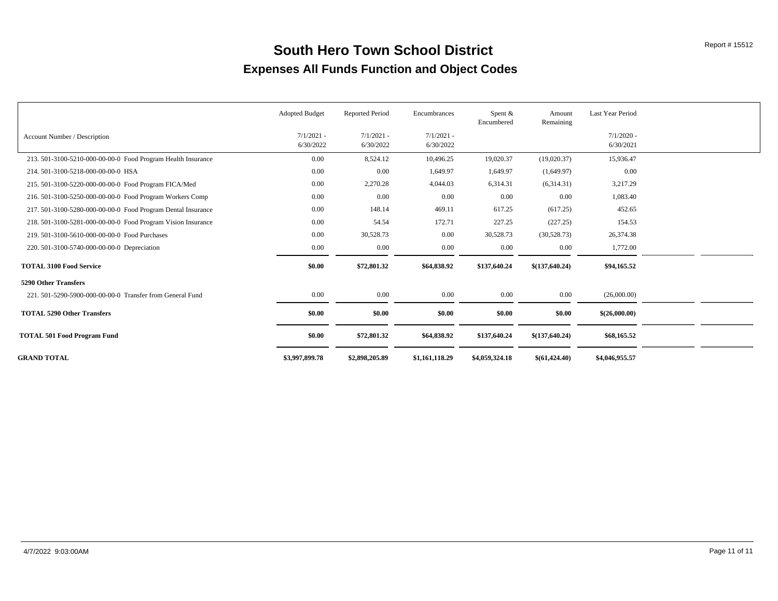|                                                              | <b>Adopted Budget</b>     | <b>Reported Period</b>    | Encumbrances              | Spent $&$<br>Encumbered | Amount<br>Remaining | Last Year Period          |  |
|--------------------------------------------------------------|---------------------------|---------------------------|---------------------------|-------------------------|---------------------|---------------------------|--|
| Account Number / Description                                 | $7/1/2021$ -<br>6/30/2022 | $7/1/2021$ -<br>6/30/2022 | $7/1/2021$ -<br>6/30/2022 |                         |                     | $7/1/2020$ -<br>6/30/2021 |  |
| 213. 501-3100-5210-000-00-00-0 Food Program Health Insurance | 0.00                      | 8,524.12                  | 10,496.25                 | 19,020.37               | (19,020.37)         | 15,936.47                 |  |
| 214.501-3100-5218-000-00-00-0 HSA                            | 0.00                      | 0.00                      | 1,649.97                  | 1,649.97                | (1,649.97)          | 0.00                      |  |
| 215. 501-3100-5220-000-00-00-0 Food Program FICA/Med         | 0.00                      | 2,270.28                  | 4,044.03                  | 6,314.31                | (6,314.31)          | 3,217.29                  |  |
| 216. 501-3100-5250-000-00-00-00 Food Program Workers Comp    | 0.00                      | 0.00                      | 0.00                      | 0.00                    | 0.00                | 1,083.40                  |  |
| 217. 501-3100-5280-000-00-00-0 Food Program Dental Insurance | 0.00                      | 148.14                    | 469.11                    | 617.25                  | (617.25)            | 452.65                    |  |
| 218. 501-3100-5281-000-00-00-0 Food Program Vision Insurance | 0.00                      | 54.54                     | 172.71                    | 227.25                  | (227.25)            | 154.53                    |  |
| 219, 501-3100-5610-000-00-00-0 Food Purchases                | 0.00                      | 30,528.73                 | 0.00                      | 30,528.73               | (30,528.73)         | 26,374.38                 |  |
| 220. 501-3100-5740-000-00-00-0 Depreciation                  | 0.00                      | 0.00                      | 0.00                      | 0.00                    | $0.00\,$            | 1,772.00                  |  |
| <b>TOTAL 3100 Food Service</b>                               | \$0.00                    | \$72,801.32               | \$64,838.92               | \$137,640.24            | \$(137,640.24)      | \$94,165.52               |  |
| <b>5290 Other Transfers</b>                                  |                           |                           |                           |                         |                     |                           |  |
| 221, 501-5290-5900-000-00-00-0 Transfer from General Fund    | 0.00                      | 0.00                      | 0.00                      | $0.00\,$                | 0.00                | (26,000.00)               |  |
| <b>TOTAL 5290 Other Transfers</b>                            | \$0.00                    | \$0.00                    | \$0.00                    | \$0.00                  | \$0.00              | \$(26,000.00)             |  |
| <b>TOTAL 501 Food Program Fund</b>                           | \$0.00                    | \$72,801.32               | \$64,838.92               | \$137,640.24            | \$(137,640.24)      | \$68,165.52               |  |
| <b>GRAND TOTAL</b>                                           | \$3,997,899.78            | \$2,898,205.89            | \$1,161,118.29            | \$4,059,324.18          | \$(61,424,40)       | \$4,046,955.57            |  |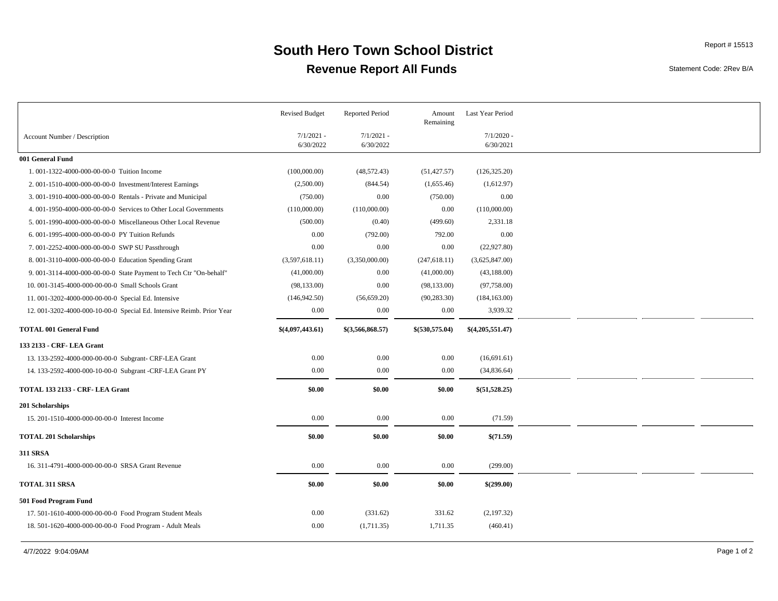### **Revenue Report All Funds South Hero Town School District** Report # 15513

Statement Code: 2Rev B/A

|                                                                       | <b>Revised Budget</b>     | <b>Reported Period</b>    | Amount<br>Remaining | Last Year Period          |  |  |
|-----------------------------------------------------------------------|---------------------------|---------------------------|---------------------|---------------------------|--|--|
| Account Number / Description                                          | $7/1/2021 -$<br>6/30/2022 | $7/1/2021$ -<br>6/30/2022 |                     | $7/1/2020$ -<br>6/30/2021 |  |  |
| 001 General Fund                                                      |                           |                           |                     |                           |  |  |
| 1.001-1322-4000-000-00-00-0 Tuition Income                            | (100,000.00)              | (48, 572.43)              | (51, 427.57)        | (126, 325.20)             |  |  |
| 2.001-1510-4000-000-00-00-0 Investment/Interest Earnings              | (2,500.00)                | (844.54)                  | (1,655.46)          | (1,612.97)                |  |  |
| 3.001-1910-4000-000-00-00-0 Rentals - Private and Municipal           | (750.00)                  | 0.00                      | (750.00)            | 0.00                      |  |  |
| 4. 001-1950-4000-000-00-00-0 Services to Other Local Governments      | (110,000.00)              | (110,000.00)              | 0.00                | (110,000.00)              |  |  |
| 5. 001-1990-4000-000-00-00-0 Miscellaneous Other Local Revenue        | (500.00)                  | (0.40)                    | (499.60)            | 2,331.18                  |  |  |
| 6.001-1995-4000-000-00-00-0 PY Tuition Refunds                        | 0.00                      | (792.00)                  | 792.00              | 0.00                      |  |  |
| 7.001-2252-4000-000-00-00-0 SWP SU Passthrough                        | 0.00                      | 0.00                      | 0.00                | (22, 927.80)              |  |  |
| 8. 001-3110-4000-000-00-00-0 Education Spending Grant                 | (3,597,618.11)            | (3,350,000.00)            | (247, 618.11)       | (3,625,847.00)            |  |  |
| 9. 001-3114-4000-000-00-00-0 State Payment to Tech Ctr "On-behalf"    | (41,000.00)               | 0.00                      | (41,000.00)         | (43,188.00)               |  |  |
| 10. 001-3145-4000-000-00-00-0 Small Schools Grant                     | (98, 133.00)              | 0.00                      | (98, 133.00)        | (97,758.00)               |  |  |
| 11.001-3202-4000-000-00-00-0 Special Ed. Intensive                    | (146, 942.50)             | (56, 659.20)              | (90, 283.30)        | (184, 163.00)             |  |  |
| 12. 001-3202-4000-000-10-00-0 Special Ed. Intensive Reimb. Prior Year | 0.00                      | 0.00                      | 0.00                | 3,939.32                  |  |  |
| <b>TOTAL 001 General Fund</b>                                         | \$(4,097,443.61)          | \$(3,566,868.57)          | \$(530,575.04)      | \$(4,205,551.47)          |  |  |
| 133 2133 - CRF- LEA Grant                                             |                           |                           |                     |                           |  |  |
| 13. 133-2592-4000-000-00-00-0 Subgrant- CRF-LEA Grant                 | 0.00                      | 0.00                      | 0.00                | (16,691.61)               |  |  |
| 14. 133-2592-4000-000-10-00-0 Subgrant -CRF-LEA Grant PY              | 0.00                      | 0.00                      | 0.00                | (34, 836.64)              |  |  |
| TOTAL 133 2133 - CRF- LEA Grant                                       | \$0.00                    | \$0.00                    | \$0.00              | \$(51,528.25)             |  |  |
| 201 Scholarships                                                      |                           |                           |                     |                           |  |  |
| 15. 201-1510-4000-000-00-00-0 Interest Income                         | 0.00                      | 0.00                      | 0.00                | (71.59)                   |  |  |
| <b>TOTAL 201 Scholarships</b>                                         | \$0.00                    | \$0.00                    | \$0.00              | \$(71.59)                 |  |  |
| <b>311 SRSA</b>                                                       |                           |                           |                     |                           |  |  |
| 16. 311-4791-4000-000-00-00-0 SRSA Grant Revenue                      | 0.00                      | 0.00                      | 0.00                | (299.00)                  |  |  |
| <b>TOTAL 311 SRSA</b>                                                 | \$0.00                    | \$0.00                    | \$0.00              | \$(299.00)                |  |  |
| 501 Food Program Fund                                                 |                           |                           |                     |                           |  |  |
| 17. 501-1610-4000-000-00-00-0 Food Program Student Meals              | 0.00                      | (331.62)                  | 331.62              | (2,197.32)                |  |  |
| 18. 501-1620-4000-000-00-00-0 Food Program - Adult Meals              | 0.00                      | (1,711.35)                | 1,711.35            | (460.41)                  |  |  |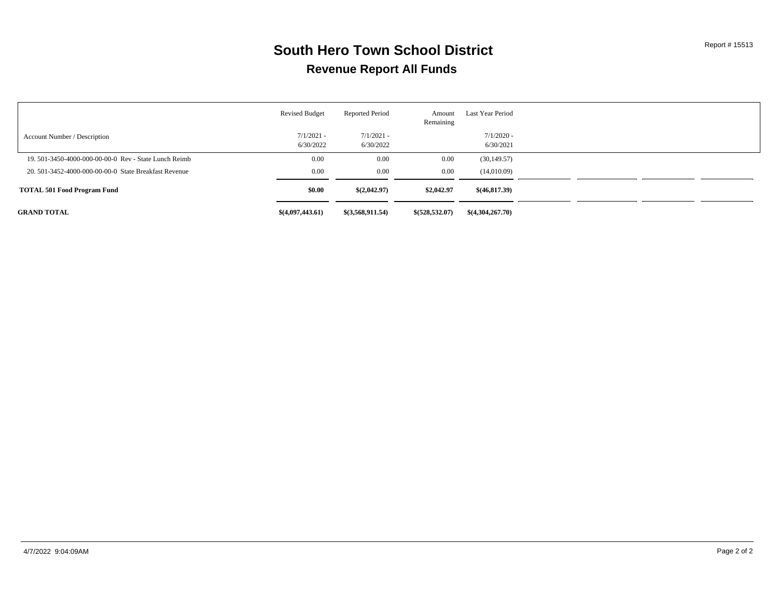### **Revenue Report All Funds South Hero Town School District** Report # 15513

|                                                       | <b>Revised Budget</b>     | <b>Reported Period</b>    | Amount<br>Remaining | Last Year Period          |  |
|-------------------------------------------------------|---------------------------|---------------------------|---------------------|---------------------------|--|
| Account Number / Description                          | $7/1/2021 -$<br>6/30/2022 | $7/1/2021 -$<br>6/30/2022 |                     | $7/1/2020$ -<br>6/30/2021 |  |
| 19, 501-3450-4000-000-00-00-0 Rev - State Lunch Reimb | 0.00                      | 0.00                      | 0.00                | (30, 149.57)              |  |
| 20, 501-3452-4000-000-00-00-0 State Breakfast Revenue | 0.00                      | 0.00                      | 0.00                | (14,010.09)               |  |
| <b>TOTAL 501 Food Program Fund</b>                    | \$0.00                    | \$(2,042.97)              | \$2,042.97          | \$(46,817,39)             |  |
| <b>GRAND TOTAL</b>                                    | \$(4,097,443.61)          | \$(3,568,911.54)          | \$(528,532.07)      | \$(4,304,267,70)          |  |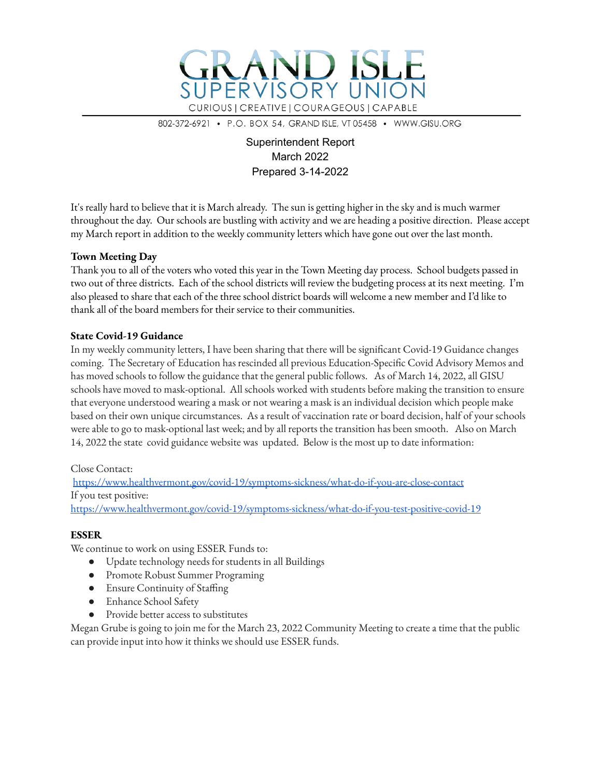

802-372-6921 • P.O. BOX 54, GRAND ISLE, VT 05458 • WWW.GISU.ORG

### Superintendent Report March 2022 Prepared 3-14-2022

It's really hard to believe that it is March already. The sun is getting higher in the sky and is much warmer throughout the day. Our schools are bustling with activity and we are heading a positive direction. Please accept my March report in addition to the weekly community letters which have gone out over the last month.

### **Town Meeting Day**

Thank you to all of the voters who voted this year in the Town Meeting day process. School budgets passed in two out of three districts. Each of the school districts will review the budgeting process at its next meeting. I'm also pleased to share that each of the three school district boards will welcome a new member and I'd like to thank all of the board members for their service to their communities.

#### **State Covid-19 Guidance**

In my weekly community letters, I have been sharing that there will be significant Covid-19 Guidance changes coming. The Secretary of Education has rescinded all previous Education-Specific Covid Advisory Memos and has moved schools to follow the guidance that the general public follows. As of March 14, 2022, all GISU schools have moved to mask-optional. All schools worked with students before making the transition to ensure that everyone understood wearing a mask or not wearing a mask is an individual decision which people make based on their own unique circumstances. As a result of vaccination rate or board decision, half of your schools were able to go to mask-optional last week; and by all reports the transition has been smooth. Also on March 14, 2022 the state covid guidance website was updated. Below is the most up to date information:

### Close Contact:

https://www.healthvermont.gov/covid-19/symptoms-sickness/what-do-if-you-are-close-contact If you test positive: https://www.healthvermont.gov/covid-19/symptoms-sickness/what-do-if-you-test-positive-covid-19

#### **ESSER**

We continue to work on using ESSER Funds to:

- Update technology needs for students in all Buildings
- Promote Robust Summer Programing
- Ensure Continuity of Staffing
- Enhance School Safety
- Provide better access to substitutes

Megan Grube is going to join me for the March 23, 2022 Community Meeting to create a time that the public can provide input into how it thinks we should use ESSER funds.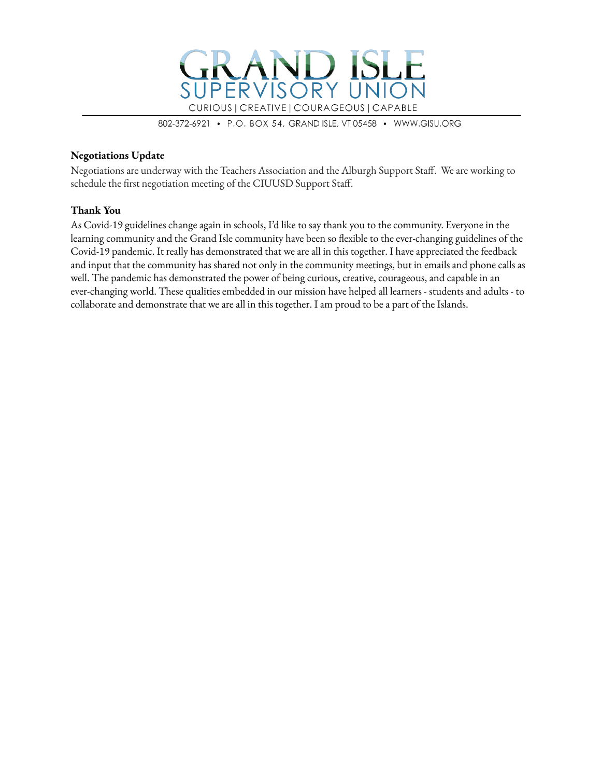

802-372-6921 • P.O. BOX 54, GRAND ISLE, VT 05458 • WWW.GISU.ORG

#### **Negotiations Update**

Negotiations are underway with the Teachers Association and the Alburgh Support Staff. We are working to schedule the first negotiation meeting of the CIUUSD Support Staff.

#### **Thank You**

As Covid-19 guidelines change again in schools, I'd like to say thank you to the community. Everyone in the learning community and the Grand Isle community have been so flexible to the ever-changing guidelines of the Covid-19 pandemic. It really has demonstrated that we are all in this together. I have appreciated the feedback and input that the community has shared not only in the community meetings, but in emails and phone calls as well. The pandemic has demonstrated the power of being curious, creative, courageous, and capable in an ever-changing world. These qualities embedded in our mission have helped all learners - students and adults - to collaborate and demonstrate that we are all in this together. I am proud to be a part of the Islands.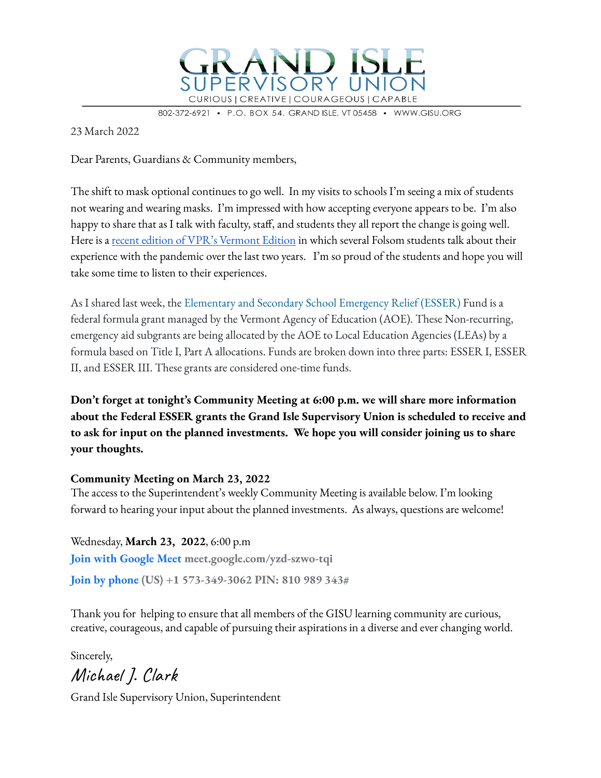

802-372-49 BOX 54, GRAND ISLE, VT 05458 · WWW.GISU.ORG

23 March 2022

Dear Parents, Guardians & Community members,

The shift to mask optional continues to go well. In my visits to schools I'm seeing a mix of students not wearing and wearing masks. I'm impressed with how accepting everyone appears to be. I'm also happy to share that as I talk with faculty, staff, and students they all report the change is going well. Here is a recent edition of VPR's Vermont Edition in which several Folsom students talk about their experience with the pandemic over the last two years. I'm so proud of the students and hope you will take some time to listen to their experiences.

As I shared last week, the Elementary and Secondary School Emergency Relief (ESSER) Fund is a federal formula grant managed by the Vermont Agency of Education (AOE). These Non-recurring, emergency aid subgrants are being allocated by the AOE to Local Education Agencies (LEAs) by a formula based on Title I, Part A allocations. Funds are broken down into three parts: ESSER I, ESSER II, and ESSER III. These grants are considered one-time funds.

**Don't forget at tonight's Community Meeting at 6:00 p.m. we will share more information about the Federal ESSER grants the Grand Isle Supervisory Union is scheduled to receive and to ask for input on the planned investments. We hope you will consider joining us to share your thoughts.**

### **Community Meeting on March 23, 2022**

The access to the Superintendent's weekly Community Meeting is available below. I'm looking forward to hearing your input about the planned investments. As always, questions are welcome!

Wednesday, **March 23, 2022**, 6:00 p.m **Join with Google Meet meet.google.com/yzd-szwo-tqi Join by phone (US) +1 573-349-3062 PIN: 810 989 343#**

Thank you for helping to ensure that all members of the GISU learning community are curious, creative, courageous, and capable of pursuing their aspirations in a diverse and ever changing world.

Sincerely, Michael J. Clark

Grand Isle Supervisory Union, Superintendent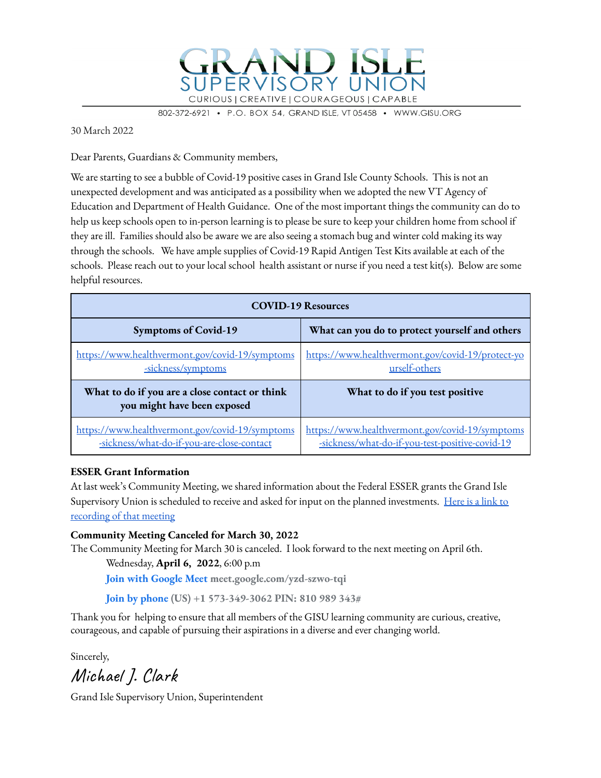

802-372-6921 P.O. BOX 54, GRAND ISLE, VT 05458 · WWW.GISU.ORG

30 March 2022

Dear Parents, Guardians & Community members,

We are starting to see a bubble of Covid-19 positive cases in Grand Isle County Schools. This is not an unexpected development and was anticipated as a possibility when we adopted the new VT Agency of Education and Department of Health Guidance. One of the most important things the community can do to help us keep schools open to in-person learning is to please be sure to keep your children home from school if they are ill. Families should also be aware we are also seeing a stomach bug and winter cold making its way through the schools. We have ample supplies of Covid-19 Rapid Antigen Test Kits available at each of the schools. Please reach out to your local school health assistant or nurse if you need a test kit(s). Below are some helpful resources.

| <b>COVID-19 Resources</b>                                                                     |                                                                                                    |  |  |  |
|-----------------------------------------------------------------------------------------------|----------------------------------------------------------------------------------------------------|--|--|--|
| <b>Symptoms of Covid-19</b>                                                                   | What can you do to protect yourself and others                                                     |  |  |  |
| https://www.healthvermont.gov/covid-19/symptoms<br>-sickness/symptoms                         | https://www.healthvermont.gov/covid-19/protect-yo<br>urself-others                                 |  |  |  |
| What to do if you are a close contact or think<br>you might have been exposed                 | What to do if you test positive                                                                    |  |  |  |
| https://www.healthvermont.gov/covid-19/symptoms<br>-sickness/what-do-if-you-are-close-contact | https://www.healthvermont.gov/covid-19/symptoms<br>-sickness/what-do-if-you-test-positive-covid-19 |  |  |  |

#### **ESSER Grant Information**

At last week's Community Meeting, we shared information about the Federal ESSER grants the Grand Isle Supervisory Union is scheduled to receive and asked for input on the planned investments. Here is a link to recording of that meeting

**Community Meeting Canceled for March 30, 2022**

The Community Meeting for March 30 is canceled. I look forward to the next meeting on April 6th.

Wednesday, **April 6, 2022**, 6:00 p.m

**Join with Google Meet meet.google.com/yzd-szwo-tqi**

**Join by phone (US) +1 573-349-3062 PIN: 810 989 343#**

Thank you for helping to ensure that all members of the GISU learning community are curious, creative, courageous, and capable of pursuing their aspirations in a diverse and ever changing world.

Sincerely,

Michael J. Clark

Grand Isle Supervisory Union, Superintendent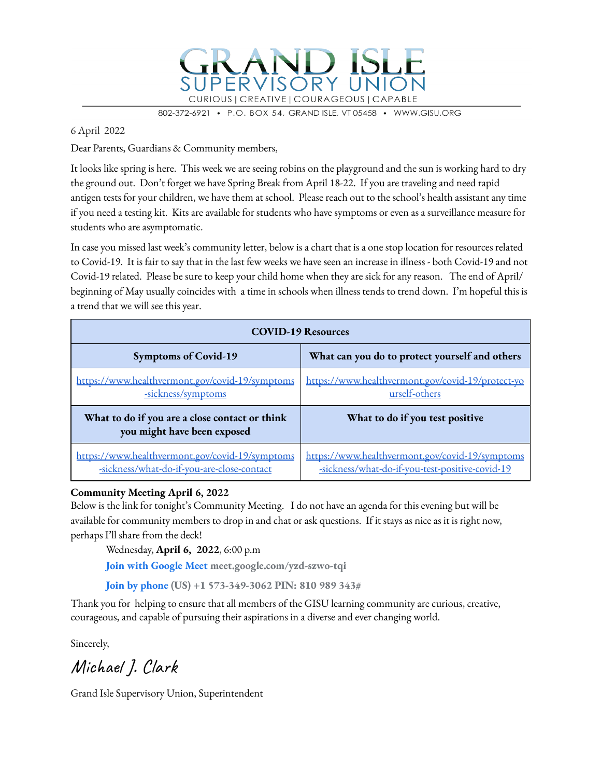

802-372-6921 P.O. BOX 54, GRAND ISLE, VT 05458 · WWW.GISU.ORG

6 April 2022

Dear Parents, Guardians & Community members,

It looks like spring is here. This week we are seeing robins on the playground and the sun is working hard to dry the ground out. Don't forget we have Spring Break from April 18-22. If you are traveling and need rapid antigen tests for your children, we have them at school. Please reach out to the school's health assistant any time if you need a testing kit. Kits are available for students who have symptoms or even as a surveillance measure for students who are asymptomatic.

In case you missed last week's community letter, below is a chart that is a one stop location for resources related to Covid-19. It is fair to say that in the last few weeks we have seen an increase in illness - both Covid-19 and not Covid-19 related. Please be sure to keep your child home when they are sick for any reason. The end of April/ beginning of May usually coincides with a time in schools when illness tends to trend down. I'm hopeful this is a trend that we will see this year.

| <b>COVID-19 Resources</b>                                                                     |                                                                                                    |  |  |  |
|-----------------------------------------------------------------------------------------------|----------------------------------------------------------------------------------------------------|--|--|--|
| <b>Symptoms of Covid-19</b>                                                                   | What can you do to protect yourself and others                                                     |  |  |  |
| https://www.healthvermont.gov/covid-19/symptoms<br>-sickness/symptoms                         | https://www.healthvermont.gov/covid-19/protect-yo<br>urself-others                                 |  |  |  |
| What to do if you are a close contact or think<br>you might have been exposed                 | What to do if you test positive                                                                    |  |  |  |
| https://www.healthvermont.gov/covid-19/symptoms<br>-sickness/what-do-if-you-are-close-contact | https://www.healthvermont.gov/covid-19/symptoms<br>-sickness/what-do-if-you-test-positive-covid-19 |  |  |  |

#### **Community Meeting April 6, 2022**

Below is the link for tonight's Community Meeting. I do not have an agenda for this evening but will be available for community members to drop in and chat or ask questions. If it stays as nice as it is right now, perhaps I'll share from the deck!

Wednesday, **April 6, 2022**, 6:00 p.m

**Join with Google Meet meet.google.com/yzd-szwo-tqi**

**Join by phone (US) +1 573-349-3062 PIN: 810 989 343#**

Thank you for helping to ensure that all members of the GISU learning community are curious, creative, courageous, and capable of pursuing their aspirations in a diverse and ever changing world.

Sincerely,

Michael J. Clark

Grand Isle Supervisory Union, Superintendent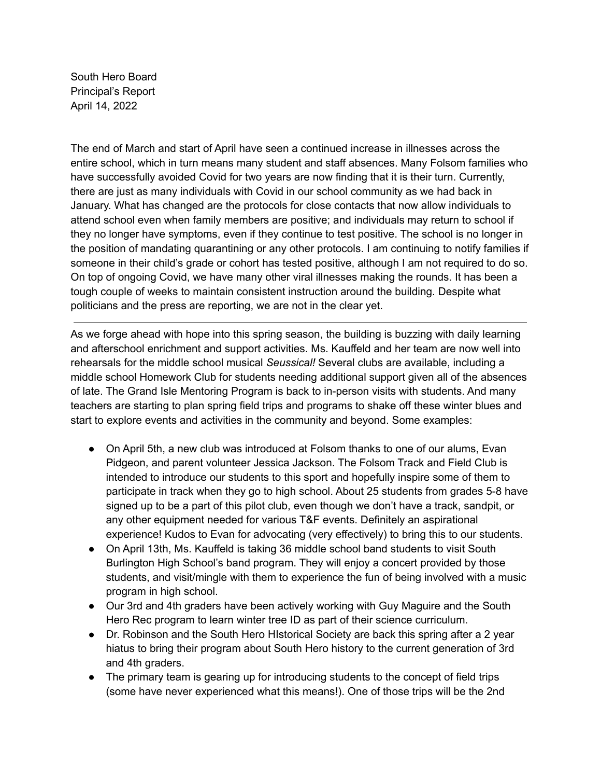South Hero Board Principal's Report April 14, 2022

The end of March and start of April have seen a continued increase in illnesses across the entire school, which in turn means many student and staff absences. Many Folsom families who have successfully avoided Covid for two years are now finding that it is their turn. Currently, there are just as many individuals with Covid in our school community as we had back in January. What has changed are the protocols for close contacts that now allow individuals to attend school even when family members are positive; and individuals may return to school if they no longer have symptoms, even if they continue to test positive. The school is no longer in the position of mandating quarantining or any other protocols. I am continuing to notify families if someone in their child's grade or cohort has tested positive, although I am not required to do so. On top of ongoing Covid, we have many other viral illnesses making the rounds. It has been a tough couple of weeks to maintain consistent instruction around the building. Despite what politicians and the press are reporting, we are not in the clear yet.

As we forge ahead with hope into this spring season, the building is buzzing with daily learning and afterschool enrichment and support activities. Ms. Kauffeld and her team are now well into rehearsals for the middle school musical *Seussical!* Several clubs are available, including a middle school Homework Club for students needing additional support given all of the absences of late. The Grand Isle Mentoring Program is back to in-person visits with students. And many teachers are starting to plan spring field trips and programs to shake off these winter blues and start to explore events and activities in the community and beyond. Some examples:

- On April 5th, a new club was introduced at Folsom thanks to one of our alums, Evan Pidgeon, and parent volunteer Jessica Jackson. The Folsom Track and Field Club is intended to introduce our students to this sport and hopefully inspire some of them to participate in track when they go to high school. About 25 students from grades 5-8 have signed up to be a part of this pilot club, even though we don't have a track, sandpit, or any other equipment needed for various T&F events. Definitely an aspirational experience! Kudos to Evan for advocating (very effectively) to bring this to our students.
- On April 13th, Ms. Kauffeld is taking 36 middle school band students to visit South Burlington High School's band program. They will enjoy a concert provided by those students, and visit/mingle with them to experience the fun of being involved with a music program in high school.
- Our 3rd and 4th graders have been actively working with Guy Maguire and the South Hero Rec program to learn winter tree ID as part of their science curriculum.
- Dr. Robinson and the South Hero HIstorical Society are back this spring after a 2 year hiatus to bring their program about South Hero history to the current generation of 3rd and 4th graders.
- The primary team is gearing up for introducing students to the concept of field trips (some have never experienced what this means!). One of those trips will be the 2nd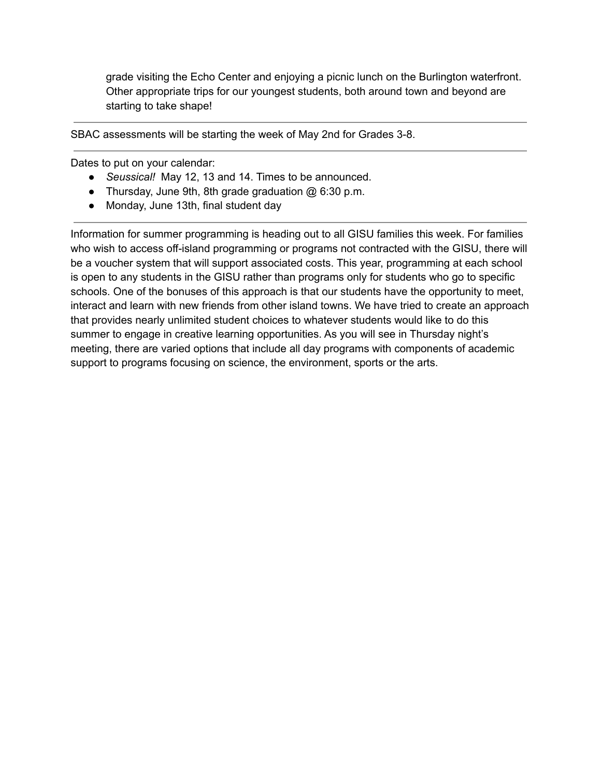grade visiting the Echo Center and enjoying a picnic lunch on the Burlington waterfront. Other appropriate trips for our youngest students, both around town and beyond are starting to take shape!

SBAC assessments will be starting the week of May 2nd for Grades 3-8.

Dates to put on your calendar:

- *● Seussical!* May 12, 13 and 14. Times to be announced.
- Thursday, June 9th, 8th grade graduation @ 6:30 p.m.
- Monday, June 13th, final student day

Information for summer programming is heading out to all GISU families this week. For families who wish to access off-island programming or programs not contracted with the GISU, there will be a voucher system that will support associated costs. This year, programming at each school is open to any students in the GISU rather than programs only for students who go to specific schools. One of the bonuses of this approach is that our students have the opportunity to meet, interact and learn with new friends from other island towns. We have tried to create an approach that provides nearly unlimited student choices to whatever students would like to do this summer to engage in creative learning opportunities. As you will see in Thursday night's meeting, there are varied options that include all day programs with components of academic support to programs focusing on science, the environment, sports or the arts.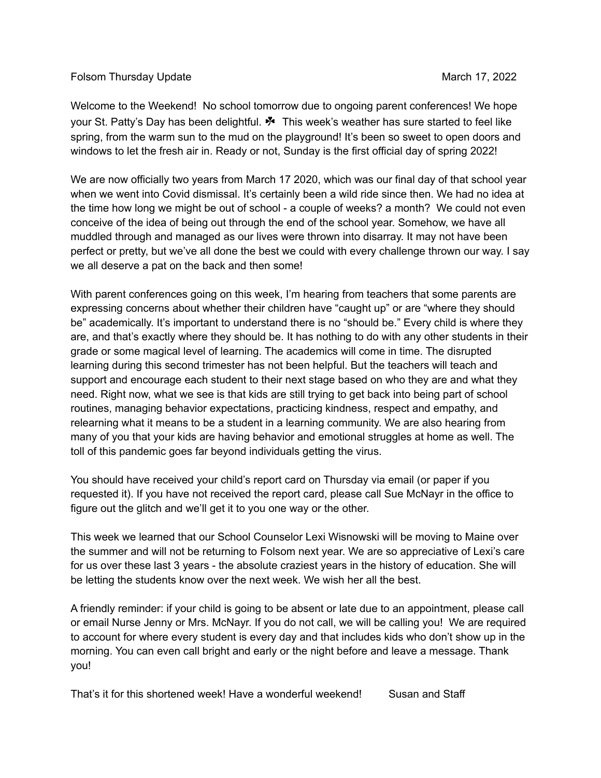#### Folsom Thursday Update March 17, 2022

Welcome to the Weekend! No school tomorrow due to ongoing parent conferences! We hope your St. Patty's Day has been delightful. ☘ This week's weather has sure started to feel like spring, from the warm sun to the mud on the playground! It's been so sweet to open doors and windows to let the fresh air in. Ready or not, Sunday is the first official day of spring 2022!

We are now officially two years from March 17 2020, which was our final day of that school year when we went into Covid dismissal. It's certainly been a wild ride since then. We had no idea at the time how long we might be out of school - a couple of weeks? a month? We could not even conceive of the idea of being out through the end of the school year. Somehow, we have all muddled through and managed as our lives were thrown into disarray. It may not have been perfect or pretty, but we've all done the best we could with every challenge thrown our way. I say we all deserve a pat on the back and then some!

With parent conferences going on this week, I'm hearing from teachers that some parents are expressing concerns about whether their children have "caught up" or are "where they should be" academically. It's important to understand there is no "should be." Every child is where they are, and that's exactly where they should be. It has nothing to do with any other students in their grade or some magical level of learning. The academics will come in time. The disrupted learning during this second trimester has not been helpful. But the teachers will teach and support and encourage each student to their next stage based on who they are and what they need. Right now, what we see is that kids are still trying to get back into being part of school routines, managing behavior expectations, practicing kindness, respect and empathy, and relearning what it means to be a student in a learning community. We are also hearing from many of you that your kids are having behavior and emotional struggles at home as well. The toll of this pandemic goes far beyond individuals getting the virus.

You should have received your child's report card on Thursday via email (or paper if you requested it). If you have not received the report card, please call Sue McNayr in the office to figure out the glitch and we'll get it to you one way or the other.

This week we learned that our School Counselor Lexi Wisnowski will be moving to Maine over the summer and will not be returning to Folsom next year. We are so appreciative of Lexi's care for us over these last 3 years - the absolute craziest years in the history of education. She will be letting the students know over the next week. We wish her all the best.

A friendly reminder: if your child is going to be absent or late due to an appointment, please call or email Nurse Jenny or Mrs. McNayr. If you do not call, we will be calling you! We are required to account for where every student is every day and that includes kids who don't show up in the morning. You can even call bright and early or the night before and leave a message. Thank you!

That's it for this shortened week! Have a wonderful weekend! Susan and Staff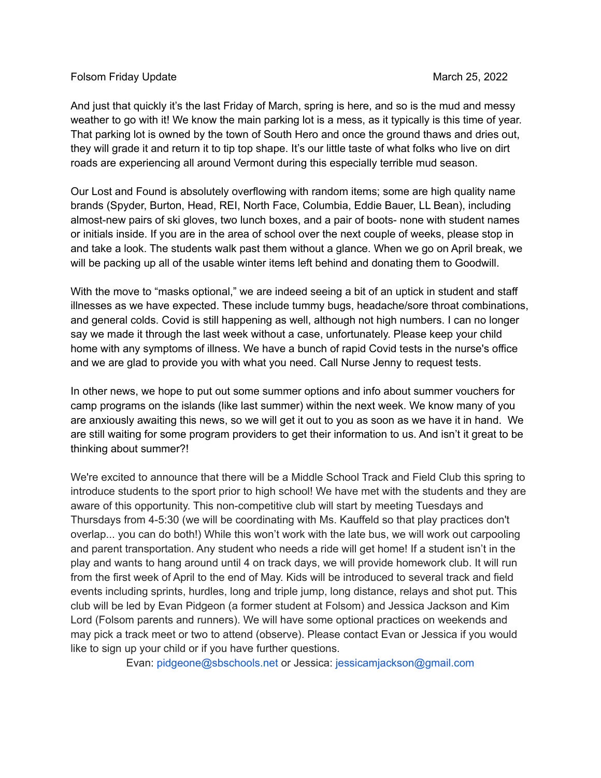#### Folsom Friday Update March 25, 2022

And just that quickly it's the last Friday of March, spring is here, and so is the mud and messy weather to go with it! We know the main parking lot is a mess, as it typically is this time of year. That parking lot is owned by the town of South Hero and once the ground thaws and dries out, they will grade it and return it to tip top shape. It's our little taste of what folks who live on dirt roads are experiencing all around Vermont during this especially terrible mud season.

Our Lost and Found is absolutely overflowing with random items; some are high quality name brands (Spyder, Burton, Head, REI, North Face, Columbia, Eddie Bauer, LL Bean), including almost-new pairs of ski gloves, two lunch boxes, and a pair of boots- none with student names or initials inside. If you are in the area of school over the next couple of weeks, please stop in and take a look. The students walk past them without a glance. When we go on April break, we will be packing up all of the usable winter items left behind and donating them to Goodwill.

With the move to "masks optional," we are indeed seeing a bit of an uptick in student and staff illnesses as we have expected. These include tummy bugs, headache/sore throat combinations, and general colds. Covid is still happening as well, although not high numbers. I can no longer say we made it through the last week without a case, unfortunately. Please keep your child home with any symptoms of illness. We have a bunch of rapid Covid tests in the nurse's office and we are glad to provide you with what you need. Call Nurse Jenny to request tests.

In other news, we hope to put out some summer options and info about summer vouchers for camp programs on the islands (like last summer) within the next week. We know many of you are anxiously awaiting this news, so we will get it out to you as soon as we have it in hand. We are still waiting for some program providers to get their information to us. And isn't it great to be thinking about summer?!

We're excited to announce that there will be a Middle School Track and Field Club this spring to introduce students to the sport prior to high school! We have met with the students and they are aware of this opportunity. This non-competitive club will start by meeting Tuesdays and Thursdays from 4-5:30 (we will be coordinating with Ms. Kauffeld so that play practices don't overlap... you can do both!) While this won't work with the late bus, we will work out carpooling and parent transportation. Any student who needs a ride will get home! If a student isn't in the play and wants to hang around until 4 on track days, we will provide homework club. It will run from the first week of April to the end of May. Kids will be introduced to several track and field events including sprints, hurdles, long and triple jump, long distance, relays and shot put. This club will be led by Evan Pidgeon (a former student at Folsom) and Jessica Jackson and Kim Lord (Folsom parents and runners). We will have some optional practices on weekends and may pick a track meet or two to attend (observe). Please contact Evan or Jessica if you would like to sign up your child or if you have further questions.

Evan: pidgeone@sbschools.net or Jessica: jessicamjackson@gmail.com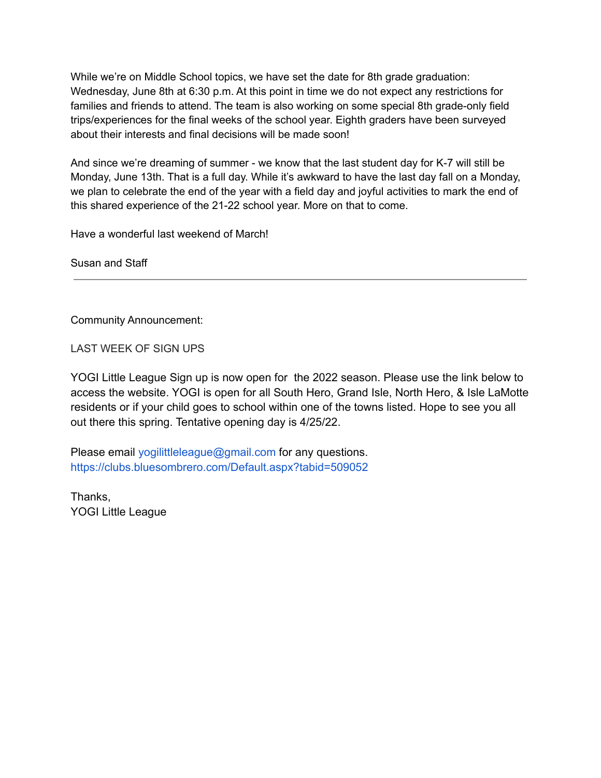While we're on Middle School topics, we have set the date for 8th grade graduation: Wednesday, June 8th at 6:30 p.m. At this point in time we do not expect any restrictions for families and friends to attend. The team is also working on some special 8th grade-only field trips/experiences for the final weeks of the school year. Eighth graders have been surveyed about their interests and final decisions will be made soon!

And since we're dreaming of summer - we know that the last student day for K-7 will still be Monday, June 13th. That is a full day. While it's awkward to have the last day fall on a Monday, we plan to celebrate the end of the year with a field day and joyful activities to mark the end of this shared experience of the 21-22 school year. More on that to come.

Have a wonderful last weekend of March!

Susan and Staff

Community Announcement:

LAST WEEK OF SIGN UPS

YOGI Little League Sign up is now open for the 2022 season. Please use the link below to access the website. YOGI is open for all South Hero, Grand Isle, North Hero, & Isle LaMotte residents or if your child goes to school within one of the towns listed. Hope to see you all out there this spring. Tentative opening day is 4/25/22.

Please email yogilittleleague@gmail.com for any questions. https://clubs.bluesombrero.com/Default.aspx?tabid=509052

Thanks, YOGI Little League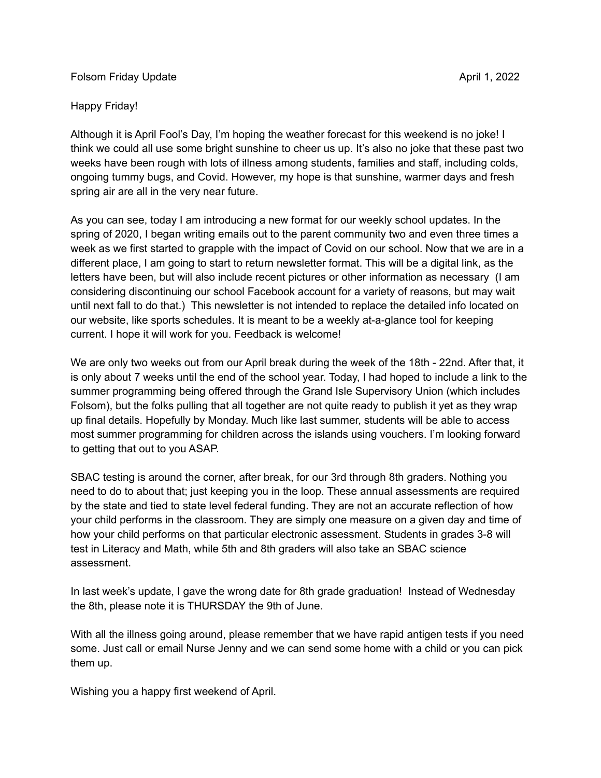#### Folsom Friday Update **April 1, 2022**

### Happy Friday!

Although it is April Fool's Day, I'm hoping the weather forecast for this weekend is no joke! I think we could all use some bright sunshine to cheer us up. It's also no joke that these past two weeks have been rough with lots of illness among students, families and staff, including colds, ongoing tummy bugs, and Covid. However, my hope is that sunshine, warmer days and fresh spring air are all in the very near future.

As you can see, today I am introducing a new format for our weekly school updates. In the spring of 2020, I began writing emails out to the parent community two and even three times a week as we first started to grapple with the impact of Covid on our school. Now that we are in a different place, I am going to start to return newsletter format. This will be a digital link, as the letters have been, but will also include recent pictures or other information as necessary (I am considering discontinuing our school Facebook account for a variety of reasons, but may wait until next fall to do that.) This newsletter is not intended to replace the detailed info located on our website, like sports schedules. It is meant to be a weekly at-a-glance tool for keeping current. I hope it will work for you. Feedback is welcome!

We are only two weeks out from our April break during the week of the 18th - 22nd. After that, it is only about 7 weeks until the end of the school year. Today, I had hoped to include a link to the summer programming being offered through the Grand Isle Supervisory Union (which includes Folsom), but the folks pulling that all together are not quite ready to publish it yet as they wrap up final details. Hopefully by Monday. Much like last summer, students will be able to access most summer programming for children across the islands using vouchers. I'm looking forward to getting that out to you ASAP.

SBAC testing is around the corner, after break, for our 3rd through 8th graders. Nothing you need to do to about that; just keeping you in the loop. These annual assessments are required by the state and tied to state level federal funding. They are not an accurate reflection of how your child performs in the classroom. They are simply one measure on a given day and time of how your child performs on that particular electronic assessment. Students in grades 3-8 will test in Literacy and Math, while 5th and 8th graders will also take an SBAC science assessment.

In last week's update, I gave the wrong date for 8th grade graduation! Instead of Wednesday the 8th, please note it is THURSDAY the 9th of June.

With all the illness going around, please remember that we have rapid antigen tests if you need some. Just call or email Nurse Jenny and we can send some home with a child or you can pick them up.

Wishing you a happy first weekend of April.